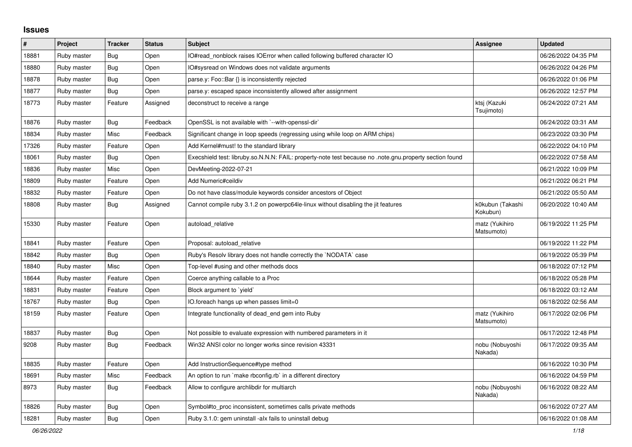## **Issues**

| #     | Project     | <b>Tracker</b> | <b>Status</b> | <b>Subject</b>                                                                                          | Assignee                     | <b>Updated</b>      |
|-------|-------------|----------------|---------------|---------------------------------------------------------------------------------------------------------|------------------------------|---------------------|
| 18881 | Ruby master | <b>Bug</b>     | Open          | IO#read_nonblock raises IOError when called following buffered character IO                             |                              | 06/26/2022 04:35 PM |
| 18880 | Ruby master | <b>Bug</b>     | Open          | IO#sysread on Windows does not validate arguments                                                       |                              | 06/26/2022 04:26 PM |
| 18878 | Ruby master | Bug            | Open          | parse.y: Foo::Bar {} is inconsistently rejected                                                         |                              | 06/26/2022 01:06 PM |
| 18877 | Ruby master | Bug            | Open          | parse.y: escaped space inconsistently allowed after assignment                                          |                              | 06/26/2022 12:57 PM |
| 18773 | Ruby master | Feature        | Assigned      | deconstruct to receive a range                                                                          | ktsj (Kazuki<br>Tsujimoto)   | 06/24/2022 07:21 AM |
| 18876 | Ruby master | <b>Bug</b>     | Feedback      | OpenSSL is not available with `--with-openssl-dir`                                                      |                              | 06/24/2022 03:31 AM |
| 18834 | Ruby master | Misc           | Feedback      | Significant change in loop speeds (regressing using while loop on ARM chips)                            |                              | 06/23/2022 03:30 PM |
| 17326 | Ruby master | Feature        | Open          | Add Kernel#must! to the standard library                                                                |                              | 06/22/2022 04:10 PM |
| 18061 | Ruby master | Bug            | Open          | Execshield test: libruby.so.N.N.N: FAIL: property-note test because no .note.gnu.property section found |                              | 06/22/2022 07:58 AM |
| 18836 | Ruby master | Misc           | Open          | DevMeeting-2022-07-21                                                                                   |                              | 06/21/2022 10:09 PM |
| 18809 | Ruby master | Feature        | Open          | Add Numeric#ceildiv                                                                                     |                              | 06/21/2022 06:21 PM |
| 18832 | Ruby master | Feature        | Open          | Do not have class/module keywords consider ancestors of Object                                          |                              | 06/21/2022 05:50 AM |
| 18808 | Ruby master | Bug            | Assigned      | Cannot compile ruby 3.1.2 on powerpc64le-linux without disabling the jit features                       | k0kubun (Takashi<br>Kokubun) | 06/20/2022 10:40 AM |
| 15330 | Ruby master | Feature        | Open          | autoload relative                                                                                       | matz (Yukihiro<br>Matsumoto) | 06/19/2022 11:25 PM |
| 18841 | Ruby master | Feature        | Open          | Proposal: autoload relative                                                                             |                              | 06/19/2022 11:22 PM |
| 18842 | Ruby master | Bug            | Open          | Ruby's Resolv library does not handle correctly the `NODATA` case                                       |                              | 06/19/2022 05:39 PM |
| 18840 | Ruby master | Misc           | Open          | Top-level #using and other methods docs                                                                 |                              | 06/18/2022 07:12 PM |
| 18644 | Ruby master | Feature        | Open          | Coerce anything callable to a Proc                                                                      |                              | 06/18/2022 05:28 PM |
| 18831 | Ruby master | Feature        | Open          | Block argument to `yield`                                                                               |                              | 06/18/2022 03:12 AM |
| 18767 | Ruby master | Bug            | Open          | IO.foreach hangs up when passes limit=0                                                                 |                              | 06/18/2022 02:56 AM |
| 18159 | Ruby master | Feature        | Open          | Integrate functionality of dead_end gem into Ruby                                                       | matz (Yukihiro<br>Matsumoto) | 06/17/2022 02:06 PM |
| 18837 | Ruby master | Bug            | Open          | Not possible to evaluate expression with numbered parameters in it                                      |                              | 06/17/2022 12:48 PM |
| 9208  | Ruby master | Bug            | Feedback      | Win32 ANSI color no longer works since revision 43331                                                   | nobu (Nobuyoshi<br>Nakada)   | 06/17/2022 09:35 AM |
| 18835 | Ruby master | Feature        | Open          | Add InstructionSequence#type method                                                                     |                              | 06/16/2022 10:30 PM |
| 18691 | Ruby master | Misc           | Feedback      | An option to run `make rbconfig.rb` in a different directory                                            |                              | 06/16/2022 04:59 PM |
| 8973  | Ruby master | Bug            | Feedback      | Allow to configure archlibdir for multiarch                                                             | nobu (Nobuyoshi<br>Nakada)   | 06/16/2022 08:22 AM |
| 18826 | Ruby master | <b>Bug</b>     | Open          | Symbol#to_proc inconsistent, sometimes calls private methods                                            |                              | 06/16/2022 07:27 AM |
| 18281 | Ruby master | <b>Bug</b>     | Open          | Ruby 3.1.0: gem uninstall -alx fails to uninstall debug                                                 |                              | 06/16/2022 01:08 AM |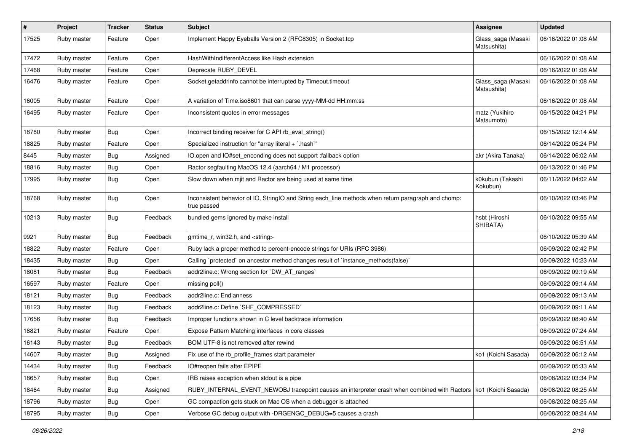| #     | Project     | <b>Tracker</b> | <b>Status</b> | <b>Subject</b>                                                                                                     | <b>Assignee</b>                   | <b>Updated</b>      |
|-------|-------------|----------------|---------------|--------------------------------------------------------------------------------------------------------------------|-----------------------------------|---------------------|
| 17525 | Ruby master | Feature        | Open          | Implement Happy Eyeballs Version 2 (RFC8305) in Socket.tcp                                                         | Glass_saga (Masaki<br>Matsushita) | 06/16/2022 01:08 AM |
| 17472 | Ruby master | Feature        | Open          | HashWithIndifferentAccess like Hash extension                                                                      |                                   | 06/16/2022 01:08 AM |
| 17468 | Ruby master | Feature        | Open          | Deprecate RUBY_DEVEL                                                                                               |                                   | 06/16/2022 01:08 AM |
| 16476 | Ruby master | Feature        | Open          | Socket.getaddrinfo cannot be interrupted by Timeout.timeout                                                        | Glass_saga (Masaki<br>Matsushita) | 06/16/2022 01:08 AM |
| 16005 | Ruby master | Feature        | Open          | A variation of Time.iso8601 that can parse yyyy-MM-dd HH:mm:ss                                                     |                                   | 06/16/2022 01:08 AM |
| 16495 | Ruby master | Feature        | Open          | Inconsistent quotes in error messages                                                                              | matz (Yukihiro<br>Matsumoto)      | 06/15/2022 04:21 PM |
| 18780 | Ruby master | Bug            | Open          | Incorrect binding receiver for C API rb_eval_string()                                                              |                                   | 06/15/2022 12:14 AM |
| 18825 | Ruby master | Feature        | Open          | Specialized instruction for "array literal + `.hash`"                                                              |                                   | 06/14/2022 05:24 PM |
| 8445  | Ruby master | <b>Bug</b>     | Assigned      | IO.open and IO#set_enconding does not support :fallback option                                                     | akr (Akira Tanaka)                | 06/14/2022 06:02 AM |
| 18816 | Ruby master | <b>Bug</b>     | Open          | Ractor segfaulting MacOS 12.4 (aarch64 / M1 processor)                                                             |                                   | 06/13/2022 01:46 PM |
| 17995 | Ruby master | Bug            | Open          | Slow down when mjit and Ractor are being used at same time                                                         | k0kubun (Takashi<br>Kokubun)      | 06/11/2022 04:02 AM |
| 18768 | Ruby master | <b>Bug</b>     | Open          | Inconsistent behavior of IO, StringIO and String each_line methods when return paragraph and chomp:<br>true passed |                                   | 06/10/2022 03:46 PM |
| 10213 | Ruby master | <b>Bug</b>     | Feedback      | bundled gems ignored by make install                                                                               | hsbt (Hiroshi<br>SHIBATA)         | 06/10/2022 09:55 AM |
| 9921  | Ruby master | Bug            | Feedback      | gmtime_r, win32.h, and <string></string>                                                                           |                                   | 06/10/2022 05:39 AM |
| 18822 | Ruby master | Feature        | Open          | Ruby lack a proper method to percent-encode strings for URIs (RFC 3986)                                            |                                   | 06/09/2022 02:42 PM |
| 18435 | Ruby master | <b>Bug</b>     | Open          | Calling `protected` on ancestor method changes result of `instance_methods(false)`                                 |                                   | 06/09/2022 10:23 AM |
| 18081 | Ruby master | Bug            | Feedback      | addr2line.c: Wrong section for `DW_AT_ranges`                                                                      |                                   | 06/09/2022 09:19 AM |
| 16597 | Ruby master | Feature        | Open          | missing poll()                                                                                                     |                                   | 06/09/2022 09:14 AM |
| 18121 | Ruby master | Bug            | Feedback      | addr2line.c: Endianness                                                                                            |                                   | 06/09/2022 09:13 AM |
| 18123 | Ruby master | <b>Bug</b>     | Feedback      | addr2line.c: Define `SHF_COMPRESSED`                                                                               |                                   | 06/09/2022 09:11 AM |
| 17656 | Ruby master | Bug            | Feedback      | Improper functions shown in C level backtrace information                                                          |                                   | 06/09/2022 08:40 AM |
| 18821 | Ruby master | Feature        | Open          | Expose Pattern Matching interfaces in core classes                                                                 |                                   | 06/09/2022 07:24 AM |
| 16143 | Ruby master | <b>Bug</b>     | Feedback      | BOM UTF-8 is not removed after rewind                                                                              |                                   | 06/09/2022 06:51 AM |
| 14607 | Ruby master | <b>Bug</b>     | Assigned      | Fix use of the rb profile frames start parameter                                                                   | ko1 (Koichi Sasada)               | 06/09/2022 06:12 AM |
| 14434 | Ruby master | <b>Bug</b>     | Feedback      | IO#reopen fails after EPIPE                                                                                        |                                   | 06/09/2022 05:33 AM |
| 18657 | Ruby master | <b>Bug</b>     | Open          | IRB raises exception when stdout is a pipe                                                                         |                                   | 06/08/2022 03:34 PM |
| 18464 | Ruby master | <b>Bug</b>     | Assigned      | RUBY_INTERNAL_EVENT_NEWOBJ tracepoint causes an interpreter crash when combined with Ractors   ko1 (Koichi Sasada) |                                   | 06/08/2022 08:25 AM |
| 18796 | Ruby master | <b>Bug</b>     | Open          | GC compaction gets stuck on Mac OS when a debugger is attached                                                     |                                   | 06/08/2022 08:25 AM |
| 18795 | Ruby master | <b>Bug</b>     | Open          | Verbose GC debug output with -DRGENGC_DEBUG=5 causes a crash                                                       |                                   | 06/08/2022 08:24 AM |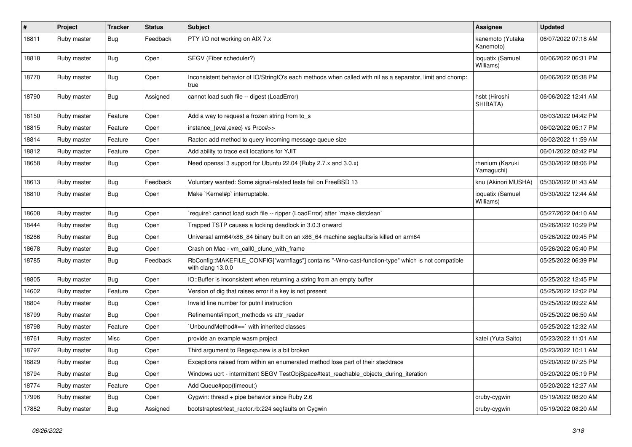| $\sharp$ | Project     | <b>Tracker</b> | <b>Status</b> | <b>Subject</b>                                                                                                         | Assignee                      | <b>Updated</b>      |
|----------|-------------|----------------|---------------|------------------------------------------------------------------------------------------------------------------------|-------------------------------|---------------------|
| 18811    | Ruby master | Bug            | Feedback      | PTY I/O not working on AIX 7.x                                                                                         | kanemoto (Yutaka<br>Kanemoto) | 06/07/2022 07:18 AM |
| 18818    | Ruby master | Bug            | Open          | SEGV (Fiber scheduler?)                                                                                                | ioquatix (Samuel<br>Williams) | 06/06/2022 06:31 PM |
| 18770    | Ruby master | <b>Bug</b>     | Open          | Inconsistent behavior of IO/StringIO's each methods when called with nil as a separator, limit and chomp:<br>true      |                               | 06/06/2022 05:38 PM |
| 18790    | Ruby master | Bug            | Assigned      | cannot load such file -- digest (LoadError)                                                                            | hsbt (Hiroshi<br>SHIBATA)     | 06/06/2022 12:41 AM |
| 16150    | Ruby master | Feature        | Open          | Add a way to request a frozen string from to_s                                                                         |                               | 06/03/2022 04:42 PM |
| 18815    | Ruby master | Feature        | Open          | instance_{eval,exec} vs Proc#>>                                                                                        |                               | 06/02/2022 05:17 PM |
| 18814    | Ruby master | Feature        | Open          | Ractor: add method to query incoming message queue size                                                                |                               | 06/02/2022 11:59 AM |
| 18812    | Ruby master | Feature        | Open          | Add ability to trace exit locations for YJIT                                                                           |                               | 06/01/2022 02:42 PM |
| 18658    | Ruby master | Bug            | Open          | Need openssl 3 support for Ubuntu 22.04 (Ruby 2.7.x and 3.0.x)                                                         | rhenium (Kazuki<br>Yamaguchi) | 05/30/2022 08:06 PM |
| 18613    | Ruby master | Bug            | Feedback      | Voluntary wanted: Some signal-related tests fail on FreeBSD 13                                                         | knu (Akinori MUSHA)           | 05/30/2022 01:43 AM |
| 18810    | Ruby master | <b>Bug</b>     | Open          | Make `Kernel#p` interruptable.                                                                                         | ioquatix (Samuel<br>Williams) | 05/30/2022 12:44 AM |
| 18608    | Ruby master | <b>Bug</b>     | Open          | 'require': cannot load such file -- ripper (LoadError) after 'make distclean'                                          |                               | 05/27/2022 04:10 AM |
| 18444    | Ruby master | Bug            | Open          | Trapped TSTP causes a locking deadlock in 3.0.3 onward                                                                 |                               | 05/26/2022 10:29 PM |
| 18286    | Ruby master | Bug            | Open          | Universal arm64/x86_84 binary built on an x86_64 machine segfaults/is killed on arm64                                  |                               | 05/26/2022 09:45 PM |
| 18678    | Ruby master | Bug            | Open          | Crash on Mac - vm_call0_cfunc_with_frame                                                                               |                               | 05/26/2022 05:40 PM |
| 18785    | Ruby master | Bug            | Feedback      | RbConfig::MAKEFILE_CONFIG["warnflags"] contains "-Wno-cast-function-type" which is not compatible<br>with clang 13.0.0 |                               | 05/25/2022 06:39 PM |
| 18805    | Ruby master | <b>Bug</b>     | Open          | IO::Buffer is inconsistent when returning a string from an empty buffer                                                |                               | 05/25/2022 12:45 PM |
| 14602    | Ruby master | Feature        | Open          | Version of dig that raises error if a key is not present                                                               |                               | 05/25/2022 12:02 PM |
| 18804    | Ruby master | Bug            | Open          | Invalid line number for putnil instruction                                                                             |                               | 05/25/2022 09:22 AM |
| 18799    | Ruby master | Bug            | Open          | Refinement#import_methods vs attr_reader                                                                               |                               | 05/25/2022 06:50 AM |
| 18798    | Ruby master | Feature        | Open          | 'UnboundMethod#==' with inherited classes                                                                              |                               | 05/25/2022 12:32 AM |
| 18761    | Ruby master | Misc           | Open          | provide an example wasm project                                                                                        | katei (Yuta Saito)            | 05/23/2022 11:01 AM |
| 18797    | Ruby master | Bug            | Open          | Third argument to Regexp.new is a bit broken                                                                           |                               | 05/23/2022 10:11 AM |
| 16829    | Ruby master | Bug            | Open          | Exceptions raised from within an enumerated method lose part of their stacktrace                                       |                               | 05/20/2022 07:25 PM |
| 18794    | Ruby master | Bug            | Open          | Windows ucrt - intermittent SEGV TestObjSpace#test_reachable_objects_during_iteration                                  |                               | 05/20/2022 05:19 PM |
| 18774    | Ruby master | Feature        | Open          | Add Queue#pop(timeout:)                                                                                                |                               | 05/20/2022 12:27 AM |
| 17996    | Ruby master | <b>Bug</b>     | Open          | Cygwin: thread + pipe behavior since Ruby 2.6                                                                          | cruby-cygwin                  | 05/19/2022 08:20 AM |
| 17882    | Ruby master | <b>Bug</b>     | Assigned      | bootstraptest/test_ractor.rb:224 segfaults on Cygwin                                                                   | cruby-cygwin                  | 05/19/2022 08:20 AM |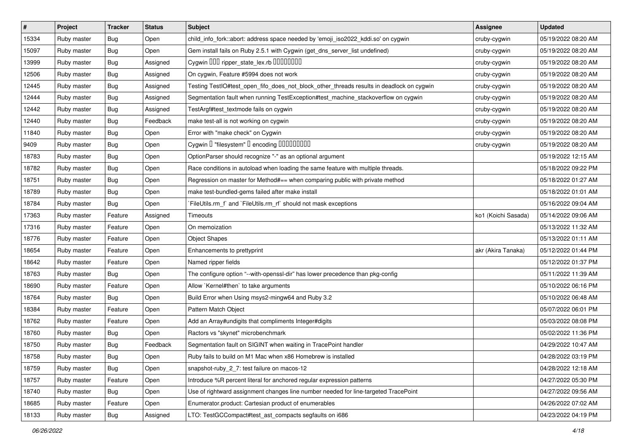| $\vert$ # | Project     | <b>Tracker</b> | <b>Status</b> | <b>Subject</b>                                                                           | <b>Assignee</b>     | <b>Updated</b>      |
|-----------|-------------|----------------|---------------|------------------------------------------------------------------------------------------|---------------------|---------------------|
| 15334     | Ruby master | Bug            | Open          | child_info_fork::abort: address space needed by 'emoji_iso2022_kddi.so' on cygwin        | cruby-cygwin        | 05/19/2022 08:20 AM |
| 15097     | Ruby master | Bug            | Open          | Gem install fails on Ruby 2.5.1 with Cygwin (get_dns_server_list undefined)              | cruby-cygwin        | 05/19/2022 08:20 AM |
| 13999     | Ruby master | Bug            | Assigned      | Cygwin DDD ripper_state_lex.rb DDDDDDDD                                                  | cruby-cygwin        | 05/19/2022 08:20 AM |
| 12506     | Ruby master | Bug            | Assigned      | On cygwin, Feature #5994 does not work                                                   | cruby-cygwin        | 05/19/2022 08:20 AM |
| 12445     | Ruby master | Bug            | Assigned      | Testing TestIO#test_open_fifo_does_not_block_other_threads results in deadlock on cygwin | cruby-cygwin        | 05/19/2022 08:20 AM |
| 12444     | Ruby master | <b>Bug</b>     | Assigned      | Segmentation fault when running TestException#test_machine_stackoverflow on cygwin       | cruby-cygwin        | 05/19/2022 08:20 AM |
| 12442     | Ruby master | <b>Bug</b>     | Assigned      | TestArgf#test_textmode fails on cygwin                                                   | cruby-cygwin        | 05/19/2022 08:20 AM |
| 12440     | Ruby master | Bug            | Feedback      | make test-all is not working on cygwin                                                   | cruby-cygwin        | 05/19/2022 08:20 AM |
| 11840     | Ruby master | <b>Bug</b>     | Open          | Error with "make check" on Cygwin                                                        | cruby-cygwin        | 05/19/2022 08:20 AM |
| 9409      | Ruby master | Bug            | Open          | Cygwin I "filesystem" I encoding IIIIIIIIIIIII                                           | cruby-cygwin        | 05/19/2022 08:20 AM |
| 18783     | Ruby master | Bug            | Open          | OptionParser should recognize "-" as an optional argument                                |                     | 05/19/2022 12:15 AM |
| 18782     | Ruby master | <b>Bug</b>     | Open          | Race conditions in autoload when loading the same feature with multiple threads.         |                     | 05/18/2022 09:22 PM |
| 18751     | Ruby master | <b>Bug</b>     | Open          | Regression on master for Method#== when comparing public with private method             |                     | 05/18/2022 01:27 AM |
| 18789     | Ruby master | <b>Bug</b>     | Open          | make test-bundled-gems failed after make install                                         |                     | 05/18/2022 01:01 AM |
| 18784     | Ruby master | <b>Bug</b>     | Open          | FileUtils.rm_f` and `FileUtils.rm_rf` should not mask exceptions                         |                     | 05/16/2022 09:04 AM |
| 17363     | Ruby master | Feature        | Assigned      | Timeouts                                                                                 | ko1 (Koichi Sasada) | 05/14/2022 09:06 AM |
| 17316     | Ruby master | Feature        | Open          | On memoization                                                                           |                     | 05/13/2022 11:32 AM |
| 18776     | Ruby master | Feature        | Open          | <b>Object Shapes</b>                                                                     |                     | 05/13/2022 01:11 AM |
| 18654     | Ruby master | Feature        | Open          | Enhancements to prettyprint                                                              | akr (Akira Tanaka)  | 05/12/2022 01:44 PM |
| 18642     | Ruby master | Feature        | Open          | Named ripper fields                                                                      |                     | 05/12/2022 01:37 PM |
| 18763     | Ruby master | <b>Bug</b>     | Open          | The configure option "--with-openssl-dir" has lower precedence than pkg-config           |                     | 05/11/2022 11:39 AM |
| 18690     | Ruby master | Feature        | Open          | Allow `Kernel#then` to take arguments                                                    |                     | 05/10/2022 06:16 PM |
| 18764     | Ruby master | Bug            | Open          | Build Error when Using msys2-mingw64 and Ruby 3.2                                        |                     | 05/10/2022 06:48 AM |
| 18384     | Ruby master | Feature        | Open          | Pattern Match Object                                                                     |                     | 05/07/2022 06:01 PM |
| 18762     | Ruby master | Feature        | Open          | Add an Array#undigits that compliments Integer#digits                                    |                     | 05/03/2022 08:08 PM |
| 18760     | Ruby master | Bug            | Open          | Ractors vs "skynet" microbenchmark                                                       |                     | 05/02/2022 11:36 PM |
| 18750     | Ruby master | <b>Bug</b>     | Feedback      | Segmentation fault on SIGINT when waiting in TracePoint handler                          |                     | 04/29/2022 10:47 AM |
| 18758     | Ruby master | <b>Bug</b>     | Open          | Ruby fails to build on M1 Mac when x86 Homebrew is installed                             |                     | 04/28/2022 03:19 PM |
| 18759     | Ruby master | Bug            | Open          | snapshot-ruby 2 7: test failure on macos-12                                              |                     | 04/28/2022 12:18 AM |
| 18757     | Ruby master | Feature        | Open          | Introduce %R percent literal for anchored regular expression patterns                    |                     | 04/27/2022 05:30 PM |
| 18740     | Ruby master | Bug            | Open          | Use of rightward assignment changes line number needed for line-targeted TracePoint      |                     | 04/27/2022 09:56 AM |
| 18685     | Ruby master | Feature        | Open          | Enumerator.product: Cartesian product of enumerables                                     |                     | 04/26/2022 07:02 AM |
| 18133     | Ruby master | <b>Bug</b>     | Assigned      | LTO: TestGCCompact#test_ast_compacts segfaults on i686                                   |                     | 04/23/2022 04:19 PM |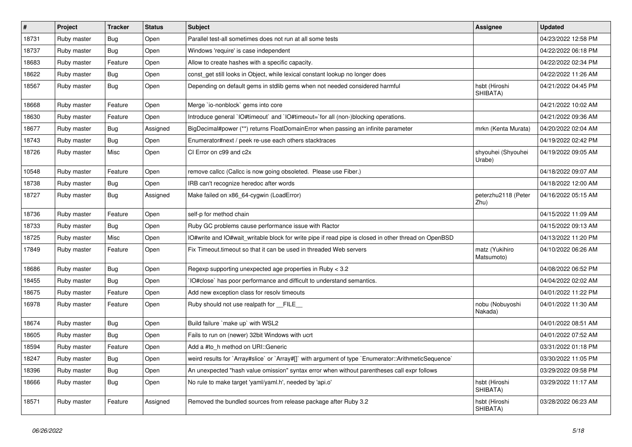| $\sharp$ | Project     | <b>Tracker</b> | <b>Status</b> | <b>Subject</b>                                                                                       | <b>Assignee</b>              | <b>Updated</b>      |
|----------|-------------|----------------|---------------|------------------------------------------------------------------------------------------------------|------------------------------|---------------------|
| 18731    | Ruby master | Bug            | Open          | Parallel test-all sometimes does not run at all some tests                                           |                              | 04/23/2022 12:58 PM |
| 18737    | Ruby master | Bug            | Open          | Windows 'require' is case independent                                                                |                              | 04/22/2022 06:18 PM |
| 18683    | Ruby master | Feature        | Open          | Allow to create hashes with a specific capacity.                                                     |                              | 04/22/2022 02:34 PM |
| 18622    | Ruby master | Bug            | Open          | const get still looks in Object, while lexical constant lookup no longer does                        |                              | 04/22/2022 11:26 AM |
| 18567    | Ruby master | Bug            | Open          | Depending on default gems in stdlib gems when not needed considered harmful                          | hsbt (Hiroshi<br>SHIBATA)    | 04/21/2022 04:45 PM |
| 18668    | Ruby master | Feature        | Open          | Merge `io-nonblock` gems into core                                                                   |                              | 04/21/2022 10:02 AM |
| 18630    | Ruby master | Feature        | Open          | Introduce general `IO#timeout` and `IO#timeout=`for all (non-)blocking operations.                   |                              | 04/21/2022 09:36 AM |
| 18677    | Ruby master | Bug            | Assigned      | BigDecimal#power (**) returns FloatDomainError when passing an infinite parameter                    | mrkn (Kenta Murata)          | 04/20/2022 02:04 AM |
| 18743    | Ruby master | <b>Bug</b>     | Open          | Enumerator#next / peek re-use each others stacktraces                                                |                              | 04/19/2022 02:42 PM |
| 18726    | Ruby master | Misc           | Open          | CI Error on c99 and c2x                                                                              | shyouhei (Shyouhei<br>Urabe) | 04/19/2022 09:05 AM |
| 10548    | Ruby master | Feature        | Open          | remove callcc (Callcc is now going obsoleted. Please use Fiber.)                                     |                              | 04/18/2022 09:07 AM |
| 18738    | Ruby master | <b>Bug</b>     | Open          | IRB can't recognize heredoc after words                                                              |                              | 04/18/2022 12:00 AM |
| 18727    | Ruby master | <b>Bug</b>     | Assigned      | Make failed on x86_64-cygwin (LoadError)                                                             | peterzhu2118 (Peter<br>Zhu)  | 04/16/2022 05:15 AM |
| 18736    | Ruby master | Feature        | Open          | self-p for method chain                                                                              |                              | 04/15/2022 11:09 AM |
| 18733    | Ruby master | Bug            | Open          | Ruby GC problems cause performance issue with Ractor                                                 |                              | 04/15/2022 09:13 AM |
| 18725    | Ruby master | Misc           | Open          | O#write and IO#wait writable block for write pipe if read pipe is closed in other thread on OpenBSD  |                              | 04/13/2022 11:20 PM |
| 17849    | Ruby master | Feature        | Open          | Fix Timeout timeout so that it can be used in threaded Web servers                                   | matz (Yukihiro<br>Matsumoto) | 04/10/2022 06:26 AM |
| 18686    | Ruby master | <b>Bug</b>     | Open          | Regexp supporting unexpected age properties in Ruby < 3.2                                            |                              | 04/08/2022 06:52 PM |
| 18455    | Ruby master | Bug            | Open          | IO#close` has poor performance and difficult to understand semantics.                                |                              | 04/04/2022 02:02 AM |
| 18675    | Ruby master | Feature        | Open          | Add new exception class for resolv timeouts                                                          |                              | 04/01/2022 11:22 PM |
| 16978    | Ruby master | Feature        | Open          | Ruby should not use realpath for __FILE__                                                            | nobu (Nobuyoshi<br>Nakada)   | 04/01/2022 11:30 AM |
| 18674    | Ruby master | Bug            | Open          | Build failure `make up` with WSL2                                                                    |                              | 04/01/2022 08:51 AM |
| 18605    | Ruby master | Bug            | Open          | Fails to run on (newer) 32bit Windows with ucrt                                                      |                              | 04/01/2022 07:52 AM |
| 18594    | Ruby master | Feature        | Open          | Add a #to h method on URI:: Generic                                                                  |                              | 03/31/2022 01:18 PM |
| 18247    | Ruby master | Bug            | Open          | weird results for `Array#slice` or `Array#[]` with argument of type `Enumerator::ArithmeticSequence` |                              | 03/30/2022 11:05 PM |
| 18396    | Ruby master | <b>Bug</b>     | Open          | An unexpected "hash value omission" syntax error when without parentheses call expr follows          |                              | 03/29/2022 09:58 PM |
| 18666    | Ruby master | <b>Bug</b>     | Open          | No rule to make target 'yaml/yaml.h', needed by 'api.o'                                              | hsbt (Hiroshi<br>SHIBATA)    | 03/29/2022 11:17 AM |
| 18571    | Ruby master | Feature        | Assigned      | Removed the bundled sources from release package after Ruby 3.2                                      | hsbt (Hiroshi<br>SHIBATA)    | 03/28/2022 06:23 AM |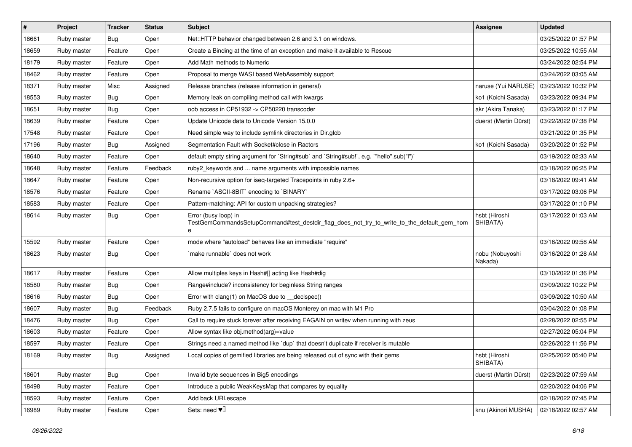| #     | Project     | <b>Tracker</b> | <b>Status</b> | <b>Subject</b>                                                                                                          | <b>Assignee</b>            | <b>Updated</b>      |
|-------|-------------|----------------|---------------|-------------------------------------------------------------------------------------------------------------------------|----------------------------|---------------------|
| 18661 | Ruby master | Bug            | Open          | Net::HTTP behavior changed between 2.6 and 3.1 on windows.                                                              |                            | 03/25/2022 01:57 PM |
| 18659 | Ruby master | Feature        | Open          | Create a Binding at the time of an exception and make it available to Rescue                                            |                            | 03/25/2022 10:55 AM |
| 18179 | Ruby master | Feature        | Open          | Add Math methods to Numeric                                                                                             |                            | 03/24/2022 02:54 PM |
| 18462 | Ruby master | Feature        | Open          | Proposal to merge WASI based WebAssembly support                                                                        |                            | 03/24/2022 03:05 AM |
| 18371 | Ruby master | Misc           | Assigned      | Release branches (release information in general)                                                                       | naruse (Yui NARUSE)        | 03/23/2022 10:32 PM |
| 18553 | Ruby master | <b>Bug</b>     | Open          | Memory leak on compiling method call with kwargs                                                                        | ko1 (Koichi Sasada)        | 03/23/2022 09:34 PM |
| 18651 | Ruby master | Bug            | Open          | oob access in CP51932 -> CP50220 transcoder                                                                             | akr (Akira Tanaka)         | 03/23/2022 01:17 PM |
| 18639 | Ruby master | Feature        | Open          | Update Unicode data to Unicode Version 15.0.0                                                                           | duerst (Martin Dürst)      | 03/22/2022 07:38 PM |
| 17548 | Ruby master | Feature        | Open          | Need simple way to include symlink directories in Dir.glob                                                              |                            | 03/21/2022 01:35 PM |
| 17196 | Ruby master | Bug            | Assigned      | Segmentation Fault with Socket#close in Ractors                                                                         | ko1 (Koichi Sasada)        | 03/20/2022 01:52 PM |
| 18640 | Ruby master | Feature        | Open          | default empty string argument for `String#sub` and `String#sub!`, e.g. `"hello".sub("I")`                               |                            | 03/19/2022 02:33 AM |
| 18648 | Ruby master | Feature        | Feedback      | ruby2_keywords and  name arguments with impossible names                                                                |                            | 03/18/2022 06:25 PM |
| 18647 | Ruby master | Feature        | Open          | Non-recursive option for iseq-targeted Tracepoints in ruby 2.6+                                                         |                            | 03/18/2022 09:41 AM |
| 18576 | Ruby master | Feature        | Open          | Rename `ASCII-8BIT` encoding to `BINARY`                                                                                |                            | 03/17/2022 03:06 PM |
| 18583 | Ruby master | Feature        | Open          | Pattern-matching: API for custom unpacking strategies?                                                                  |                            | 03/17/2022 01:10 PM |
| 18614 | Ruby master | Bug            | Open          | Error (busy loop) in<br>TestGemCommandsSetupCommand#test_destdir_flag_does_not_try_to_write_to_the_default_gem_hom<br>e | hsbt (Hiroshi<br>SHIBATA)  | 03/17/2022 01:03 AM |
| 15592 | Ruby master | Feature        | Open          | mode where "autoload" behaves like an immediate "require"                                                               |                            | 03/16/2022 09:58 AM |
| 18623 | Ruby master | Bug            | Open          | make runnable` does not work                                                                                            | nobu (Nobuyoshi<br>Nakada) | 03/16/2022 01:28 AM |
| 18617 | Ruby master | Feature        | Open          | Allow multiples keys in Hash#[] acting like Hash#dig                                                                    |                            | 03/10/2022 01:36 PM |
| 18580 | Ruby master | <b>Bug</b>     | Open          | Range#include? inconsistency for beginless String ranges                                                                |                            | 03/09/2022 10:22 PM |
| 18616 | Ruby master | <b>Bug</b>     | Open          | Error with clang(1) on MacOS due to __declspec()                                                                        |                            | 03/09/2022 10:50 AM |
| 18607 | Ruby master | <b>Bug</b>     | Feedback      | Ruby 2.7.5 fails to configure on macOS Monterey on mac with M1 Pro                                                      |                            | 03/04/2022 01:08 PM |
| 18476 | Ruby master | Bug            | Open          | Call to require stuck forever after receiving EAGAIN on writev when running with zeus                                   |                            | 02/28/2022 02:55 PM |
| 18603 | Ruby master | Feature        | Open          | Allow syntax like obj.method(arg)=value                                                                                 |                            | 02/27/2022 05:04 PM |
| 18597 | Ruby master | Feature        | Open          | Strings need a named method like `dup` that doesn't duplicate if receiver is mutable                                    |                            | 02/26/2022 11:56 PM |
| 18169 | Ruby master | Bug            | Assigned      | ocal copies of gemified libraries are being released out of sync with their gems.                                       | hsbt (Hiroshi<br>SHIBATA)  | 02/25/2022 05:40 PM |
| 18601 | Ruby master | Bug            | Open          | Invalid byte sequences in Big5 encodings                                                                                | duerst (Martin Dürst)      | 02/23/2022 07:59 AM |
| 18498 | Ruby master | Feature        | Open          | Introduce a public WeakKeysMap that compares by equality                                                                |                            | 02/20/2022 04:06 PM |
| 18593 | Ruby master | Feature        | Open          | Add back URI.escape                                                                                                     |                            | 02/18/2022 07:45 PM |
| 16989 | Ruby master | Feature        | Open          | Sets: need $\Psi$                                                                                                       | knu (Akinori MUSHA)        | 02/18/2022 02:57 AM |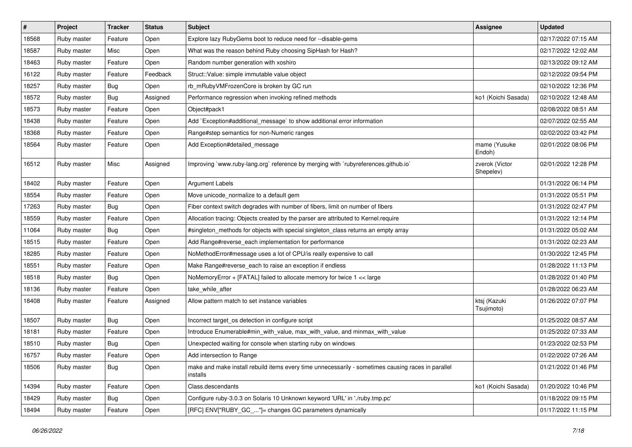| $\vert$ # | Project     | <b>Tracker</b> | <b>Status</b> | <b>Subject</b>                                                                                                 | <b>Assignee</b>             | <b>Updated</b>      |
|-----------|-------------|----------------|---------------|----------------------------------------------------------------------------------------------------------------|-----------------------------|---------------------|
| 18568     | Ruby master | Feature        | Open          | Explore lazy RubyGems boot to reduce need for --disable-gems                                                   |                             | 02/17/2022 07:15 AM |
| 18587     | Ruby master | Misc           | Open          | What was the reason behind Ruby choosing SipHash for Hash?                                                     |                             | 02/17/2022 12:02 AM |
| 18463     | Ruby master | Feature        | Open          | Random number generation with xoshiro                                                                          |                             | 02/13/2022 09:12 AM |
| 16122     | Ruby master | Feature        | Feedback      | Struct::Value: simple immutable value object                                                                   |                             | 02/12/2022 09:54 PM |
| 18257     | Ruby master | Bug            | Open          | rb_mRubyVMFrozenCore is broken by GC run                                                                       |                             | 02/10/2022 12:36 PM |
| 18572     | Ruby master | <b>Bug</b>     | Assigned      | Performance regression when invoking refined methods                                                           | ko1 (Koichi Sasada)         | 02/10/2022 12:48 AM |
| 18573     | Ruby master | Feature        | Open          | Object#pack1                                                                                                   |                             | 02/08/2022 08:51 AM |
| 18438     | Ruby master | Feature        | Open          | Add `Exception#additional message` to show additional error information                                        |                             | 02/07/2022 02:55 AM |
| 18368     | Ruby master | Feature        | Open          | Range#step semantics for non-Numeric ranges                                                                    |                             | 02/02/2022 03:42 PM |
| 18564     | Ruby master | Feature        | Open          | Add Exception#detailed_message                                                                                 | mame (Yusuke<br>Endoh)      | 02/01/2022 08:06 PM |
| 16512     | Ruby master | Misc           | Assigned      | Improving `www.ruby-lang.org` reference by merging with `rubyreferences.github.io`                             | zverok (Victor<br>Shepelev) | 02/01/2022 12:28 PM |
| 18402     | Ruby master | Feature        | Open          | Argument Labels                                                                                                |                             | 01/31/2022 06:14 PM |
| 18554     | Ruby master | Feature        | Open          | Move unicode_normalize to a default gem                                                                        |                             | 01/31/2022 05:51 PM |
| 17263     | Ruby master | <b>Bug</b>     | Open          | Fiber context switch degrades with number of fibers, limit on number of fibers                                 |                             | 01/31/2022 02:47 PM |
| 18559     | Ruby master | Feature        | Open          | Allocation tracing: Objects created by the parser are attributed to Kernel.require                             |                             | 01/31/2022 12:14 PM |
| 11064     | Ruby master | Bug            | Open          | #singleton_methods for objects with special singleton_class returns an empty array                             |                             | 01/31/2022 05:02 AM |
| 18515     | Ruby master | Feature        | Open          | Add Range#reverse_each implementation for performance                                                          |                             | 01/31/2022 02:23 AM |
| 18285     | Ruby master | Feature        | Open          | NoMethodError#message uses a lot of CPU/is really expensive to call                                            |                             | 01/30/2022 12:45 PM |
| 18551     | Ruby master | Feature        | Open          | Make Range#reverse_each to raise an exception if endless                                                       |                             | 01/28/2022 11:13 PM |
| 18518     | Ruby master | Bug            | Open          | NoMemoryError + [FATAL] failed to allocate memory for twice 1 << large                                         |                             | 01/28/2022 01:40 PM |
| 18136     | Ruby master | Feature        | Open          | take_while_after                                                                                               |                             | 01/28/2022 06:23 AM |
| 18408     | Ruby master | Feature        | Assigned      | Allow pattern match to set instance variables                                                                  | ktsj (Kazuki<br>Tsujimoto)  | 01/26/2022 07:07 PM |
| 18507     | Ruby master | Bug            | Open          | Incorrect target_os detection in configure script                                                              |                             | 01/25/2022 08:57 AM |
| 18181     | Ruby master | Feature        | Open          | Introduce Enumerable#min_with_value, max_with_value, and minmax_with_value                                     |                             | 01/25/2022 07:33 AM |
| 18510     | Ruby master | <b>Bug</b>     | Open          | Unexpected waiting for console when starting ruby on windows                                                   |                             | 01/23/2022 02:53 PM |
| 16757     | Ruby master | Feature        | Open          | Add intersection to Range                                                                                      |                             | 01/22/2022 07:26 AM |
| 18506     | Ruby master | Bug            | Open          | make and make install rebuild items every time unnecessarily - sometimes causing races in parallel<br>installs |                             | 01/21/2022 01:46 PM |
| 14394     | Ruby master | Feature        | Open          | Class.descendants                                                                                              | ko1 (Koichi Sasada)         | 01/20/2022 10:46 PM |
| 18429     | Ruby master | <b>Bug</b>     | Open          | Configure ruby-3.0.3 on Solaris 10 Unknown keyword 'URL' in './ruby.tmp.pc'                                    |                             | 01/18/2022 09:15 PM |
| 18494     | Ruby master | Feature        | Open          | [RFC] ENV["RUBY_GC_"]= changes GC parameters dynamically                                                       |                             | 01/17/2022 11:15 PM |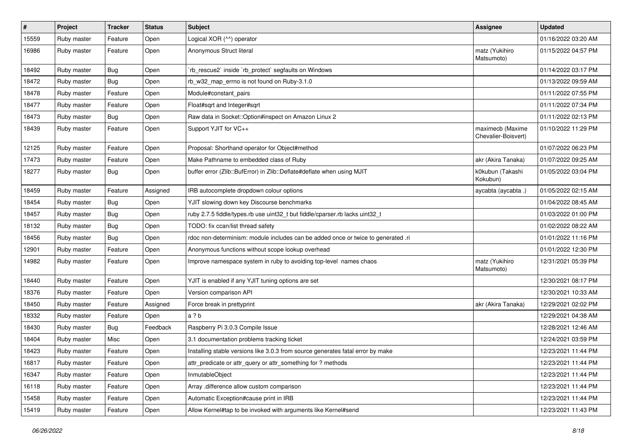| $\sharp$ | Project     | <b>Tracker</b> | <b>Status</b> | <b>Subject</b>                                                                    | <b>Assignee</b>                         | <b>Updated</b>      |
|----------|-------------|----------------|---------------|-----------------------------------------------------------------------------------|-----------------------------------------|---------------------|
| 15559    | Ruby master | Feature        | Open          | Logical XOR (^^) operator                                                         |                                         | 01/16/2022 03:20 AM |
| 16986    | Ruby master | Feature        | Open          | Anonymous Struct literal                                                          | matz (Yukihiro<br>Matsumoto)            | 01/15/2022 04:57 PM |
| 18492    | Ruby master | Bug            | Open          | rb_rescue2` inside `rb_protect` segfaults on Windows                              |                                         | 01/14/2022 03:17 PM |
| 18472    | Ruby master | Bug            | Open          | rb_w32_map_errno is not found on Ruby-3.1.0                                       |                                         | 01/13/2022 09:59 AM |
| 18478    | Ruby master | Feature        | Open          | Module#constant_pairs                                                             |                                         | 01/11/2022 07:55 PM |
| 18477    | Ruby master | Feature        | Open          | Float#sqrt and Integer#sqrt                                                       |                                         | 01/11/2022 07:34 PM |
| 18473    | Ruby master | Bug            | Open          | Raw data in Socket:: Option#inspect on Amazon Linux 2                             |                                         | 01/11/2022 02:13 PM |
| 18439    | Ruby master | Feature        | Open          | Support YJIT for VC++                                                             | maximecb (Maxime<br>Chevalier-Boisvert) | 01/10/2022 11:29 PM |
| 12125    | Ruby master | Feature        | Open          | Proposal: Shorthand operator for Object#method                                    |                                         | 01/07/2022 06:23 PM |
| 17473    | Ruby master | Feature        | Open          | Make Pathname to embedded class of Ruby                                           | akr (Akira Tanaka)                      | 01/07/2022 09:25 AM |
| 18277    | Ruby master | Bug            | Open          | buffer error (Zlib::BufError) in Zlib::Deflate#deflate when using MJIT            | k0kubun (Takashi<br>Kokubun)            | 01/05/2022 03:04 PM |
| 18459    | Ruby master | Feature        | Assigned      | IRB autocomplete dropdown colour options                                          | aycabta (aycabta .)                     | 01/05/2022 02:15 AM |
| 18454    | Ruby master | Bug            | Open          | YJIT slowing down key Discourse benchmarks                                        |                                         | 01/04/2022 08:45 AM |
| 18457    | Ruby master | <b>Bug</b>     | Open          | ruby 2.7.5 fiddle/types.rb use uint32_t but fiddle/cparser.rb lacks uint32_t      |                                         | 01/03/2022 01:00 PM |
| 18132    | Ruby master | Bug            | Open          | TODO: fix ccan/list thread safety                                                 |                                         | 01/02/2022 08:22 AM |
| 18456    | Ruby master | Bug            | Open          | rdoc non-determinism: module includes can be added once or twice to generated .ri |                                         | 01/01/2022 11:16 PM |
| 12901    | Ruby master | Feature        | Open          | Anonymous functions without scope lookup overhead                                 |                                         | 01/01/2022 12:30 PM |
| 14982    | Ruby master | Feature        | Open          | Improve namespace system in ruby to avoiding top-level names chaos                | matz (Yukihiro<br>Matsumoto)            | 12/31/2021 05:39 PM |
| 18440    | Ruby master | Feature        | Open          | YJIT is enabled if any YJIT tuning options are set                                |                                         | 12/30/2021 08:17 PM |
| 18376    | Ruby master | Feature        | Open          | Version comparison API                                                            |                                         | 12/30/2021 10:33 AM |
| 18450    | Ruby master | Feature        | Assigned      | Force break in prettyprint                                                        | akr (Akira Tanaka)                      | 12/29/2021 02:02 PM |
| 18332    | Ruby master | Feature        | Open          | a?b                                                                               |                                         | 12/29/2021 04:38 AM |
| 18430    | Ruby master | <b>Bug</b>     | Feedback      | Raspberry Pi 3.0.3 Compile Issue                                                  |                                         | 12/28/2021 12:46 AM |
| 18404    | Ruby master | Misc           | Open          | 3.1 documentation problems tracking ticket                                        |                                         | 12/24/2021 03:59 PM |
| 18423    | Ruby master | Feature        | Open          | Installing stable versions like 3.0.3 from source generates fatal error by make   |                                         | 12/23/2021 11:44 PM |
| 16817    | Ruby master | Feature        | Open          | attr_predicate or attr_query or attr_something for ? methods                      |                                         | 12/23/2021 11:44 PM |
| 16347    | Ruby master | Feature        | Open          | InmutableObject                                                                   |                                         | 12/23/2021 11:44 PM |
| 16118    | Ruby master | Feature        | Open          | Array .difference allow custom comparison                                         |                                         | 12/23/2021 11:44 PM |
| 15458    | Ruby master | Feature        | Open          | Automatic Exception#cause print in IRB                                            |                                         | 12/23/2021 11:44 PM |
| 15419    | Ruby master | Feature        | Open          | Allow Kernel#tap to be invoked with arguments like Kernel#send                    |                                         | 12/23/2021 11:43 PM |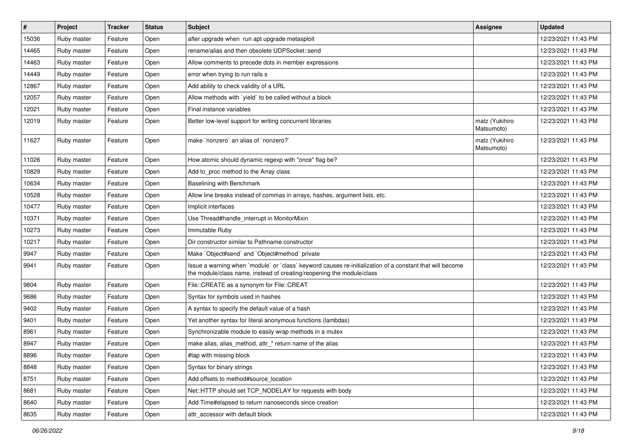| $\pmb{\#}$ | Project     | <b>Tracker</b> | <b>Status</b> | <b>Subject</b>                                                                                                                                                                    | <b>Assignee</b>              | <b>Updated</b>      |
|------------|-------------|----------------|---------------|-----------------------------------------------------------------------------------------------------------------------------------------------------------------------------------|------------------------------|---------------------|
| 15036      | Ruby master | Feature        | Open          | after upgrade when run apt upgrade metasploit                                                                                                                                     |                              | 12/23/2021 11:43 PM |
| 14465      | Ruby master | Feature        | Open          | rename/alias and then obsolete UDPSocket::send                                                                                                                                    |                              | 12/23/2021 11:43 PM |
| 14463      | Ruby master | Feature        | Open          | Allow comments to precede dots in member expressions                                                                                                                              |                              | 12/23/2021 11:43 PM |
| 14449      | Ruby master | Feature        | Open          | error when trying to run rails s                                                                                                                                                  |                              | 12/23/2021 11:43 PM |
| 12867      | Ruby master | Feature        | Open          | Add ability to check validity of a URL                                                                                                                                            |                              | 12/23/2021 11:43 PM |
| 12057      | Ruby master | Feature        | Open          | Allow methods with 'yield' to be called without a block                                                                                                                           |                              | 12/23/2021 11:43 PM |
| 12021      | Ruby master | Feature        | Open          | Final instance variables                                                                                                                                                          |                              | 12/23/2021 11:43 PM |
| 12019      | Ruby master | Feature        | Open          | Better low-level support for writing concurrent libraries                                                                                                                         | matz (Yukihiro<br>Matsumoto) | 12/23/2021 11:43 PM |
| 11627      | Ruby master | Feature        | Open          | make `nonzero` an alias of `nonzero?`                                                                                                                                             | matz (Yukihiro<br>Matsumoto) | 12/23/2021 11:43 PM |
| 11026      | Ruby master | Feature        | Open          | How atomic should dynamic regexp with "once" flag be?                                                                                                                             |                              | 12/23/2021 11:43 PM |
| 10829      | Ruby master | Feature        | Open          | Add to_proc method to the Array class                                                                                                                                             |                              | 12/23/2021 11:43 PM |
| 10634      | Ruby master | Feature        | Open          | Baselining with Benchmark                                                                                                                                                         |                              | 12/23/2021 11:43 PM |
| 10528      | Ruby master | Feature        | Open          | Allow line breaks instead of commas in arrays, hashes, argument lists, etc.                                                                                                       |                              | 12/23/2021 11:43 PM |
| 10477      | Ruby master | Feature        | Open          | Implicit interfaces                                                                                                                                                               |                              | 12/23/2021 11:43 PM |
| 10371      | Ruby master | Feature        | Open          | Use Thread#handle_interrupt in MonitorMixin                                                                                                                                       |                              | 12/23/2021 11:43 PM |
| 10273      | Ruby master | Feature        | Open          | Immutable Ruby                                                                                                                                                                    |                              | 12/23/2021 11:43 PM |
| 10217      | Ruby master | Feature        | Open          | Dir constructor similar to Pathname constructor                                                                                                                                   |                              | 12/23/2021 11:43 PM |
| 9947       | Ruby master | Feature        | Open          | Make `Object#send` and `Object#method` private                                                                                                                                    |                              | 12/23/2021 11:43 PM |
| 9941       | Ruby master | Feature        | Open          | Issue a warning when `module` or `class` keyword causes re-initialization of a constant that will become<br>the module/class name, instead of creating/reopening the module/class |                              | 12/23/2021 11:43 PM |
| 9804       | Ruby master | Feature        | Open          | File::CREATE as a synonym for File::CREAT                                                                                                                                         |                              | 12/23/2021 11:43 PM |
| 9686       | Ruby master | Feature        | Open          | Syntax for symbols used in hashes                                                                                                                                                 |                              | 12/23/2021 11:43 PM |
| 9402       | Ruby master | Feature        | Open          | A syntax to specify the default value of a hash                                                                                                                                   |                              | 12/23/2021 11:43 PM |
| 9401       | Ruby master | Feature        | Open          | Yet another syntax for literal anonymous functions (lambdas)                                                                                                                      |                              | 12/23/2021 11:43 PM |
| 8961       | Ruby master | Feature        | Open          | Synchronizable module to easily wrap methods in a mutex                                                                                                                           |                              | 12/23/2021 11:43 PM |
| 8947       | Ruby master | Feature        | Open          | make alias, alias_method, attr_* return name of the alias                                                                                                                         |                              | 12/23/2021 11:43 PM |
| 8896       | Ruby master | Feature        | Open          | #tap with missing block                                                                                                                                                           |                              | 12/23/2021 11:43 PM |
| 8848       | Ruby master | Feature        | Open          | Syntax for binary strings                                                                                                                                                         |                              | 12/23/2021 11:43 PM |
| 8751       | Ruby master | Feature        | Open          | Add offsets to method#source location                                                                                                                                             |                              | 12/23/2021 11:43 PM |
| 8681       | Ruby master | Feature        | Open          | Net::HTTP should set TCP_NODELAY for requests with body                                                                                                                           |                              | 12/23/2021 11:43 PM |
| 8640       | Ruby master | Feature        | Open          | Add Time#elapsed to return nanoseconds since creation                                                                                                                             |                              | 12/23/2021 11:43 PM |
| 8635       | Ruby master | Feature        | Open          | attr accessor with default block                                                                                                                                                  |                              | 12/23/2021 11:43 PM |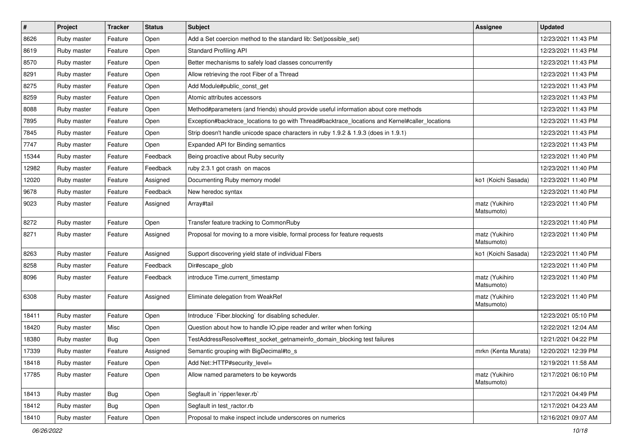| $\sharp$ | Project     | <b>Tracker</b> | <b>Status</b> | <b>Subject</b>                                                                                  | <b>Assignee</b>              | <b>Updated</b>      |
|----------|-------------|----------------|---------------|-------------------------------------------------------------------------------------------------|------------------------------|---------------------|
| 8626     | Ruby master | Feature        | Open          | Add a Set coercion method to the standard lib: Set(possible_set)                                |                              | 12/23/2021 11:43 PM |
| 8619     | Ruby master | Feature        | Open          | <b>Standard Profiling API</b>                                                                   |                              | 12/23/2021 11:43 PM |
| 8570     | Ruby master | Feature        | Open          | Better mechanisms to safely load classes concurrently                                           |                              | 12/23/2021 11:43 PM |
| 8291     | Ruby master | Feature        | Open          | Allow retrieving the root Fiber of a Thread                                                     |                              | 12/23/2021 11:43 PM |
| 8275     | Ruby master | Feature        | Open          | Add Module#public_const_get                                                                     |                              | 12/23/2021 11:43 PM |
| 8259     | Ruby master | Feature        | Open          | Atomic attributes accessors                                                                     |                              | 12/23/2021 11:43 PM |
| 8088     | Ruby master | Feature        | Open          | Method#parameters (and friends) should provide useful information about core methods            |                              | 12/23/2021 11:43 PM |
| 7895     | Ruby master | Feature        | Open          | Exception#backtrace_locations to go with Thread#backtrace_locations and Kernel#caller_locations |                              | 12/23/2021 11:43 PM |
| 7845     | Ruby master | Feature        | Open          | Strip doesn't handle unicode space characters in ruby 1.9.2 & 1.9.3 (does in 1.9.1)             |                              | 12/23/2021 11:43 PM |
| 7747     | Ruby master | Feature        | Open          | Expanded API for Binding semantics                                                              |                              | 12/23/2021 11:43 PM |
| 15344    | Ruby master | Feature        | Feedback      | Being proactive about Ruby security                                                             |                              | 12/23/2021 11:40 PM |
| 12982    | Ruby master | Feature        | Feedback      | ruby 2.3.1 got crash on macos                                                                   |                              | 12/23/2021 11:40 PM |
| 12020    | Ruby master | Feature        | Assigned      | Documenting Ruby memory model                                                                   | ko1 (Koichi Sasada)          | 12/23/2021 11:40 PM |
| 9678     | Ruby master | Feature        | Feedback      | New heredoc syntax                                                                              |                              | 12/23/2021 11:40 PM |
| 9023     | Ruby master | Feature        | Assigned      | Array#tail                                                                                      | matz (Yukihiro<br>Matsumoto) | 12/23/2021 11:40 PM |
| 8272     | Ruby master | Feature        | Open          | Transfer feature tracking to CommonRuby                                                         |                              | 12/23/2021 11:40 PM |
| 8271     | Ruby master | Feature        | Assigned      | Proposal for moving to a more visible, formal process for feature requests                      | matz (Yukihiro<br>Matsumoto) | 12/23/2021 11:40 PM |
| 8263     | Ruby master | Feature        | Assigned      | Support discovering yield state of individual Fibers                                            | ko1 (Koichi Sasada)          | 12/23/2021 11:40 PM |
| 8258     | Ruby master | Feature        | Feedback      | Dir#escape_glob                                                                                 |                              | 12/23/2021 11:40 PM |
| 8096     | Ruby master | Feature        | Feedback      | introduce Time.current timestamp                                                                | matz (Yukihiro<br>Matsumoto) | 12/23/2021 11:40 PM |
| 6308     | Ruby master | Feature        | Assigned      | Eliminate delegation from WeakRef                                                               | matz (Yukihiro<br>Matsumoto) | 12/23/2021 11:40 PM |
| 18411    | Ruby master | Feature        | Open          | Introduce `Fiber.blocking` for disabling scheduler.                                             |                              | 12/23/2021 05:10 PM |
| 18420    | Ruby master | Misc           | Open          | Question about how to handle IO.pipe reader and writer when forking                             |                              | 12/22/2021 12:04 AM |
| 18380    | Ruby master | <b>Bug</b>     | Open          | TestAddressResolve#test_socket_getnameinfo_domain_blocking test failures                        |                              | 12/21/2021 04:22 PM |
| 17339    | Ruby master | Feature        | Assigned      | Semantic grouping with BigDecimal#to_s                                                          | mrkn (Kenta Murata)          | 12/20/2021 12:39 PM |
| 18418    | Ruby master | Feature        | Open          | Add Net::HTTP#security level=                                                                   |                              | 12/19/2021 11:58 AM |
| 17785    | Ruby master | Feature        | Open          | Allow named parameters to be keywords                                                           | matz (Yukihiro<br>Matsumoto) | 12/17/2021 06:10 PM |
| 18413    | Ruby master | Bug            | Open          | Segfault in 'ripper/lexer.rb'                                                                   |                              | 12/17/2021 04:49 PM |
| 18412    | Ruby master | <b>Bug</b>     | Open          | Segfault in test_ractor.rb                                                                      |                              | 12/17/2021 04:23 AM |
| 18410    | Ruby master | Feature        | Open          | Proposal to make inspect include underscores on numerics                                        |                              | 12/16/2021 09:07 AM |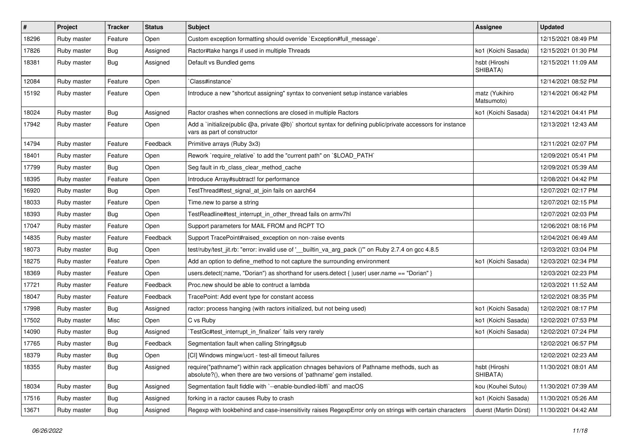| $\vert$ # | Project     | <b>Tracker</b> | <b>Status</b> | <b>Subject</b>                                                                                                                                                      | <b>Assignee</b>              | <b>Updated</b>      |
|-----------|-------------|----------------|---------------|---------------------------------------------------------------------------------------------------------------------------------------------------------------------|------------------------------|---------------------|
| 18296     | Ruby master | Feature        | Open          | Custom exception formatting should override `Exception#full_message`.                                                                                               |                              | 12/15/2021 08:49 PM |
| 17826     | Ruby master | <b>Bug</b>     | Assigned      | Ractor#take hangs if used in multiple Threads                                                                                                                       | ko1 (Koichi Sasada)          | 12/15/2021 01:30 PM |
| 18381     | Ruby master | Bug            | Assigned      | Default vs Bundled gems                                                                                                                                             | hsbt (Hiroshi<br>SHIBATA)    | 12/15/2021 11:09 AM |
| 12084     | Ruby master | Feature        | Open          | Class#instance`                                                                                                                                                     |                              | 12/14/2021 08:52 PM |
| 15192     | Ruby master | Feature        | Open          | Introduce a new "shortcut assigning" syntax to convenient setup instance variables                                                                                  | matz (Yukihiro<br>Matsumoto) | 12/14/2021 06:42 PM |
| 18024     | Ruby master | Bug            | Assigned      | Ractor crashes when connections are closed in multiple Ractors                                                                                                      | ko1 (Koichi Sasada)          | 12/14/2021 04:41 PM |
| 17942     | Ruby master | Feature        | Open          | Add a 'initialize(public @a, private @b)' shortcut syntax for defining public/private accessors for instance<br>vars as part of constructor                         |                              | 12/13/2021 12:43 AM |
| 14794     | Ruby master | Feature        | Feedback      | Primitive arrays (Ruby 3x3)                                                                                                                                         |                              | 12/11/2021 02:07 PM |
| 18401     | Ruby master | Feature        | Open          | Rework `require_relative` to add the "current path" on `\$LOAD_PATH`                                                                                                |                              | 12/09/2021 05:41 PM |
| 17799     | Ruby master | Bug            | Open          | Seg fault in rb_class_clear_method_cache                                                                                                                            |                              | 12/09/2021 05:39 AM |
| 18395     | Ruby master | Feature        | Open          | Introduce Array#subtract! for performance                                                                                                                           |                              | 12/08/2021 04:42 PM |
| 16920     | Ruby master | <b>Bug</b>     | Open          | TestThread#test_signal_at_join fails on aarch64                                                                                                                     |                              | 12/07/2021 02:17 PM |
| 18033     | Ruby master | Feature        | Open          | Time.new to parse a string                                                                                                                                          |                              | 12/07/2021 02:15 PM |
| 18393     | Ruby master | Bug            | Open          | TestReadline#test interrupt in other thread fails on armv7hl                                                                                                        |                              | 12/07/2021 02:03 PM |
| 17047     | Ruby master | Feature        | Open          | Support parameters for MAIL FROM and RCPT TO                                                                                                                        |                              | 12/06/2021 08:16 PM |
| 14835     | Ruby master | Feature        | Feedback      | Support TracePoint#raised exception on non-:raise events                                                                                                            |                              | 12/04/2021 06:49 AM |
| 18073     | Ruby master | <b>Bug</b>     | Open          | test/ruby/test_jit.rb: "error: invalid use of '__builtin_va_arg_pack ()" on Ruby 2.7.4 on gcc 4.8.5                                                                 |                              | 12/03/2021 03:04 PM |
| 18275     | Ruby master | Feature        | Open          | Add an option to define_method to not capture the surrounding environment                                                                                           | ko1 (Koichi Sasada)          | 12/03/2021 02:34 PM |
| 18369     | Ruby master | Feature        | Open          | users.detect(:name, "Dorian") as shorthand for users.detect { $ user user.name == "Dorian"$ }                                                                       |                              | 12/03/2021 02:23 PM |
| 17721     | Ruby master | Feature        | Feedback      | Proc.new should be able to contruct a lambda                                                                                                                        |                              | 12/03/2021 11:52 AM |
| 18047     | Ruby master | Feature        | Feedback      | TracePoint: Add event type for constant access                                                                                                                      |                              | 12/02/2021 08:35 PM |
| 17998     | Ruby master | Bug            | Assigned      | ractor: process hanging (with ractors initialized, but not being used)                                                                                              | ko1 (Koichi Sasada)          | 12/02/2021 08:17 PM |
| 17502     | Ruby master | Misc           | Open          | C vs Ruby                                                                                                                                                           | ko1 (Koichi Sasada)          | 12/02/2021 07:53 PM |
| 14090     | Ruby master | <b>Bug</b>     | Assigned      | TestGc#test interrupt in finalizer` fails very rarely                                                                                                               | ko1 (Koichi Sasada)          | 12/02/2021 07:24 PM |
| 17765     | Ruby master | <b>Bug</b>     | Feedback      | Segmentation fault when calling String#gsub                                                                                                                         |                              | 12/02/2021 06:57 PM |
| 18379     | Ruby master | Bug            | Open          | [CI] Windows mingw/ucrt - test-all timeout failures                                                                                                                 |                              | 12/02/2021 02:23 AM |
| 18355     | Ruby master | Bug            | Assigned      | require("pathname") within rack application chnages behaviors of Pathname methods, such as<br>absolute?(), when there are two versions of 'pathname' gem installed. | hsbt (Hiroshi<br>SHIBATA)    | 11/30/2021 08:01 AM |
| 18034     | Ruby master | <b>Bug</b>     | Assigned      | Segmentation fault fiddle with `--enable-bundled-libffi` and macOS                                                                                                  | kou (Kouhei Sutou)           | 11/30/2021 07:39 AM |
| 17516     | Ruby master | <b>Bug</b>     | Assigned      | forking in a ractor causes Ruby to crash                                                                                                                            | ko1 (Koichi Sasada)          | 11/30/2021 05:26 AM |
| 13671     | Ruby master | <b>Bug</b>     | Assigned      | Regexp with lookbehind and case-insensitivity raises RegexpError only on strings with certain characters                                                            | duerst (Martin Dürst)        | 11/30/2021 04:42 AM |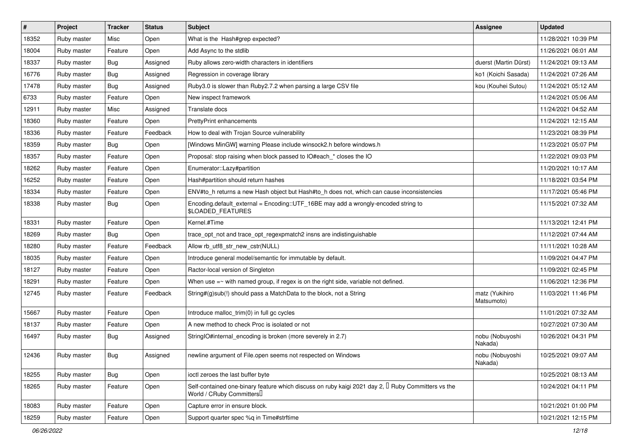| $\vert$ # | Project     | <b>Tracker</b> | <b>Status</b> | Subject                                                                                                                                    | <b>Assignee</b>              | <b>Updated</b>      |
|-----------|-------------|----------------|---------------|--------------------------------------------------------------------------------------------------------------------------------------------|------------------------------|---------------------|
| 18352     | Ruby master | Misc           | Open          | What is the Hash#grep expected?                                                                                                            |                              | 11/28/2021 10:39 PM |
| 18004     | Ruby master | Feature        | Open          | Add Async to the stdlib                                                                                                                    |                              | 11/26/2021 06:01 AM |
| 18337     | Ruby master | <b>Bug</b>     | Assigned      | Ruby allows zero-width characters in identifiers                                                                                           | duerst (Martin Dürst)        | 11/24/2021 09:13 AM |
| 16776     | Ruby master | <b>Bug</b>     | Assigned      | Regression in coverage library                                                                                                             | ko1 (Koichi Sasada)          | 11/24/2021 07:26 AM |
| 17478     | Ruby master | <b>Bug</b>     | Assigned      | Ruby3.0 is slower than Ruby2.7.2 when parsing a large CSV file                                                                             | kou (Kouhei Sutou)           | 11/24/2021 05:12 AM |
| 6733      | Ruby master | Feature        | Open          | New inspect framework                                                                                                                      |                              | 11/24/2021 05:06 AM |
| 12911     | Ruby master | Misc           | Assigned      | Translate docs                                                                                                                             |                              | 11/24/2021 04:52 AM |
| 18360     | Ruby master | Feature        | Open          | <b>PrettyPrint enhancements</b>                                                                                                            |                              | 11/24/2021 12:15 AM |
| 18336     | Ruby master | Feature        | Feedback      | How to deal with Trojan Source vulnerability                                                                                               |                              | 11/23/2021 08:39 PM |
| 18359     | Ruby master | Bug            | Open          | [Windows MinGW] warning Please include winsock2.h before windows.h                                                                         |                              | 11/23/2021 05:07 PM |
| 18357     | Ruby master | Feature        | Open          | Proposal: stop raising when block passed to IO#each_* closes the IO                                                                        |                              | 11/22/2021 09:03 PM |
| 18262     | Ruby master | Feature        | Open          | Enumerator::Lazy#partition                                                                                                                 |                              | 11/20/2021 10:17 AM |
| 16252     | Ruby master | Feature        | Open          | Hash#partition should return hashes                                                                                                        |                              | 11/18/2021 03:54 PM |
| 18334     | Ruby master | Feature        | Open          | ENV#to_h returns a new Hash object but Hash#to_h does not, which can cause inconsistencies                                                 |                              | 11/17/2021 05:46 PM |
| 18338     | Ruby master | Bug            | Open          | Encoding.default_external = Encoding::UTF_16BE may add a wrongly-encoded string to<br><b>\$LOADED_FEATURES</b>                             |                              | 11/15/2021 07:32 AM |
| 18331     | Ruby master | Feature        | Open          | Kernel.#Time                                                                                                                               |                              | 11/13/2021 12:41 PM |
| 18269     | Ruby master | Bug            | Open          | trace_opt_not and trace_opt_regexpmatch2 insns are indistinguishable                                                                       |                              | 11/12/2021 07:44 AM |
| 18280     | Ruby master | Feature        | Feedback      | Allow rb_utf8_str_new_cstr(NULL)                                                                                                           |                              | 11/11/2021 10:28 AM |
| 18035     | Ruby master | Feature        | Open          | Introduce general model/semantic for immutable by default.                                                                                 |                              | 11/09/2021 04:47 PM |
| 18127     | Ruby master | Feature        | Open          | Ractor-local version of Singleton                                                                                                          |                              | 11/09/2021 02:45 PM |
| 18291     | Ruby master | Feature        | Open          | When use $=\sim$ with named group, if regex is on the right side, variable not defined.                                                    |                              | 11/06/2021 12:36 PM |
| 12745     | Ruby master | Feature        | Feedback      | String#(g)sub(!) should pass a MatchData to the block, not a String                                                                        | matz (Yukihiro<br>Matsumoto) | 11/03/2021 11:46 PM |
| 15667     | Ruby master | Feature        | Open          | Introduce malloc_trim(0) in full gc cycles                                                                                                 |                              | 11/01/2021 07:32 AM |
| 18137     | Ruby master | Feature        | Open          | A new method to check Proc is isolated or not                                                                                              |                              | 10/27/2021 07:30 AM |
| 16497     | Ruby master | Bug            | Assigned      | StringIO#internal_encoding is broken (more severely in 2.7)                                                                                | nobu (Nobuyoshi<br>Nakada)   | 10/26/2021 04:31 PM |
| 12436     | Ruby master | <b>Bug</b>     | Assigned      | newline argument of File.open seems not respected on Windows                                                                               | nobu (Nobuyoshi<br>Nakada)   | 10/25/2021 09:07 AM |
| 18255     | Ruby master | Bug            | Open          | ioctl zeroes the last buffer byte                                                                                                          |                              | 10/25/2021 08:13 AM |
| 18265     | Ruby master | Feature        | Open          | Self-contained one-binary feature which discuss on ruby kaigi 2021 day 2, <sup>[]</sup> Ruby Committers vs the<br>World / CRuby Committers |                              | 10/24/2021 04:11 PM |
| 18083     | Ruby master | Feature        | Open          | Capture error in ensure block.                                                                                                             |                              | 10/21/2021 01:00 PM |
| 18259     | Ruby master | Feature        | Open          | Support quarter spec %q in Time#strftime                                                                                                   |                              | 10/21/2021 12:15 PM |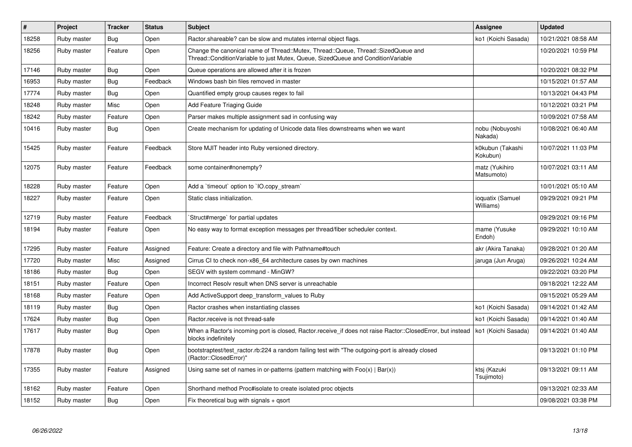| $\vert$ # | <b>Project</b> | <b>Tracker</b> | <b>Status</b> | <b>Subject</b>                                                                                                                                                        | <b>Assignee</b>               | <b>Updated</b>      |
|-----------|----------------|----------------|---------------|-----------------------------------------------------------------------------------------------------------------------------------------------------------------------|-------------------------------|---------------------|
| 18258     | Ruby master    | <b>Bug</b>     | Open          | Ractor shareable? can be slow and mutates internal object flags.                                                                                                      | ko1 (Koichi Sasada)           | 10/21/2021 08:58 AM |
| 18256     | Ruby master    | Feature        | Open          | Change the canonical name of Thread::Mutex, Thread::Queue, Thread::SizedQueue and<br>Thread::ConditionVariable to just Mutex, Queue, SizedQueue and ConditionVariable |                               | 10/20/2021 10:59 PM |
| 17146     | Ruby master    | <b>Bug</b>     | Open          | Queue operations are allowed after it is frozen                                                                                                                       |                               | 10/20/2021 08:32 PM |
| 16953     | Ruby master    | <b>Bug</b>     | Feedback      | Windows bash bin files removed in master                                                                                                                              |                               | 10/15/2021 01:57 AM |
| 17774     | Ruby master    | Bug            | Open          | Quantified empty group causes regex to fail                                                                                                                           |                               | 10/13/2021 04:43 PM |
| 18248     | Ruby master    | Misc           | Open          | Add Feature Triaging Guide                                                                                                                                            |                               | 10/12/2021 03:21 PM |
| 18242     | Ruby master    | Feature        | Open          | Parser makes multiple assignment sad in confusing way                                                                                                                 |                               | 10/09/2021 07:58 AM |
| 10416     | Ruby master    | Bug            | Open          | Create mechanism for updating of Unicode data files downstreams when we want                                                                                          | nobu (Nobuyoshi<br>Nakada)    | 10/08/2021 06:40 AM |
| 15425     | Ruby master    | Feature        | Feedback      | Store MJIT header into Ruby versioned directory.                                                                                                                      | k0kubun (Takashi<br>Kokubun)  | 10/07/2021 11:03 PM |
| 12075     | Ruby master    | Feature        | Feedback      | some container#nonempty?                                                                                                                                              | matz (Yukihiro<br>Matsumoto)  | 10/07/2021 03:11 AM |
| 18228     | Ruby master    | Feature        | Open          | Add a 'timeout' option to 'IO.copy stream'                                                                                                                            |                               | 10/01/2021 05:10 AM |
| 18227     | Ruby master    | Feature        | Open          | Static class initialization.                                                                                                                                          | ioquatix (Samuel<br>Williams) | 09/29/2021 09:21 PM |
| 12719     | Ruby master    | Feature        | Feedback      | Struct#merge` for partial updates                                                                                                                                     |                               | 09/29/2021 09:16 PM |
| 18194     | Ruby master    | Feature        | Open          | No easy way to format exception messages per thread/fiber scheduler context.                                                                                          | mame (Yusuke<br>Endoh)        | 09/29/2021 10:10 AM |
| 17295     | Ruby master    | Feature        | Assigned      | Feature: Create a directory and file with Pathname#touch                                                                                                              | akr (Akira Tanaka)            | 09/28/2021 01:20 AM |
| 17720     | Ruby master    | Misc           | Assigned      | Cirrus CI to check non-x86 64 architecture cases by own machines                                                                                                      | jaruga (Jun Aruga)            | 09/26/2021 10:24 AM |
| 18186     | Ruby master    | Bug            | Open          | SEGV with system command - MinGW?                                                                                                                                     |                               | 09/22/2021 03:20 PM |
| 18151     | Ruby master    | Feature        | Open          | Incorrect Resolv result when DNS server is unreachable                                                                                                                |                               | 09/18/2021 12:22 AM |
| 18168     | Ruby master    | Feature        | Open          | Add ActiveSupport deep transform values to Ruby                                                                                                                       |                               | 09/15/2021 05:29 AM |
| 18119     | Ruby master    | <b>Bug</b>     | Open          | Ractor crashes when instantiating classes                                                                                                                             | ko1 (Koichi Sasada)           | 09/14/2021 01:42 AM |
| 17624     | Ruby master    | Bug            | Open          | Ractor.receive is not thread-safe                                                                                                                                     | ko1 (Koichi Sasada)           | 09/14/2021 01:40 AM |
| 17617     | Ruby master    | <b>Bug</b>     | Open          | When a Ractor's incoming port is closed, Ractor.receive_if does not raise Ractor::ClosedError, but instead<br>blocks indefinitely                                     | ko1 (Koichi Sasada)           | 09/14/2021 01:40 AM |
| 17878     | Ruby master    | Bug            | Open          | bootstraptest/test ractor.rb:224 a random failing test with "The outgoing-port is already closed<br>(Ractor::ClosedError)"                                            |                               | 09/13/2021 01:10 PM |
| 17355     | Ruby master    | Feature        | Assigned      | Using same set of names in or-patterns (pattern matching with $Foo(x)   Bar(x)$ )                                                                                     | ktsj (Kazuki<br>Tsujimoto)    | 09/13/2021 09:11 AM |
| 18162     | Ruby master    | Feature        | Open          | Shorthand method Proc#isolate to create isolated proc objects                                                                                                         |                               | 09/13/2021 02:33 AM |
| 18152     | Ruby master    | Bug            | Open          | Fix theoretical bug with signals $+$ qsort                                                                                                                            |                               | 09/08/2021 03:38 PM |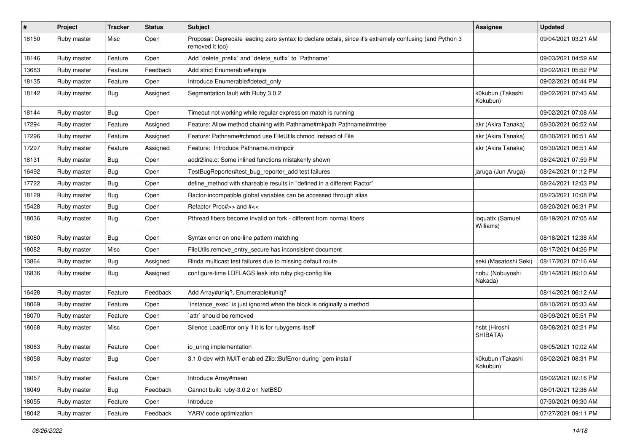| $\sharp$ | Project     | <b>Tracker</b> | <b>Status</b> | Subject                                                                                                                    | <b>Assignee</b>               | <b>Updated</b>      |
|----------|-------------|----------------|---------------|----------------------------------------------------------------------------------------------------------------------------|-------------------------------|---------------------|
| 18150    | Ruby master | Misc           | Open          | Proposal: Deprecate leading zero syntax to declare octals, since it's extremely confusing (and Python 3<br>removed it too) |                               | 09/04/2021 03:21 AM |
| 18146    | Ruby master | Feature        | Open          | Add 'delete_prefix' and 'delete_suffix' to 'Pathname'                                                                      |                               | 09/03/2021 04:59 AM |
| 13683    | Ruby master | Feature        | Feedback      | Add strict Enumerable#single                                                                                               |                               | 09/02/2021 05:52 PM |
| 18135    | Ruby master | Feature        | Open          | Introduce Enumerable#detect_only                                                                                           |                               | 09/02/2021 05:44 PM |
| 18142    | Ruby master | <b>Bug</b>     | Assigned      | Segmentation fault with Ruby 3.0.2                                                                                         | k0kubun (Takashi<br>Kokubun)  | 09/02/2021 07:43 AM |
| 18144    | Ruby master | <b>Bug</b>     | Open          | Timeout not working while regular expression match is running                                                              |                               | 09/02/2021 07:08 AM |
| 17294    | Ruby master | Feature        | Assigned      | Feature: Allow method chaining with Pathname#mkpath Pathname#rmtree                                                        | akr (Akira Tanaka)            | 08/30/2021 06:52 AM |
| 17296    | Ruby master | Feature        | Assigned      | Feature: Pathname#chmod use FileUtils.chmod instead of File                                                                | akr (Akira Tanaka)            | 08/30/2021 06:51 AM |
| 17297    | Ruby master | Feature        | Assigned      | Feature: Introduce Pathname.mktmpdir                                                                                       | akr (Akira Tanaka)            | 08/30/2021 06:51 AM |
| 18131    | Ruby master | Bug            | Open          | addr2line.c: Some inlined functions mistakenly shown                                                                       |                               | 08/24/2021 07:59 PM |
| 16492    | Ruby master | <b>Bug</b>     | Open          | TestBugReporter#test_bug_reporter_add test failures                                                                        | jaruga (Jun Aruga)            | 08/24/2021 01:12 PM |
| 17722    | Ruby master | <b>Bug</b>     | Open          | define_method with shareable results in "defined in a different Ractor"                                                    |                               | 08/24/2021 12:03 PM |
| 18129    | Ruby master | <b>Bug</b>     | Open          | Ractor-incompatible global variables can be accessed through alias                                                         |                               | 08/23/2021 10:08 PM |
| 15428    | Ruby master | Bug            | Open          | Refactor Proc#>> and #<<                                                                                                   |                               | 08/20/2021 06:31 PM |
| 18036    | Ruby master | <b>Bug</b>     | Open          | Pthread fibers become invalid on fork - different from normal fibers.                                                      | ioquatix (Samuel<br>Williams) | 08/19/2021 07:05 AM |
| 18080    | Ruby master | <b>Bug</b>     | Open          | Syntax error on one-line pattern matching                                                                                  |                               | 08/18/2021 12:38 AM |
| 18082    | Ruby master | Misc           | Open          | FileUtils.remove_entry_secure has inconsistent document                                                                    |                               | 08/17/2021 04:26 PM |
| 13864    | Ruby master | <b>Bug</b>     | Assigned      | Rinda multicast test failures due to missing default route                                                                 | seki (Masatoshi Seki)         | 08/17/2021 07:16 AM |
| 16836    | Ruby master | <b>Bug</b>     | Assigned      | configure-time LDFLAGS leak into ruby pkg-config file                                                                      | nobu (Nobuyoshi<br>Nakada)    | 08/14/2021 09:10 AM |
| 16428    | Ruby master | Feature        | Feedback      | Add Array#uniq?, Enumerable#uniq?                                                                                          |                               | 08/14/2021 06:12 AM |
| 18069    | Ruby master | Feature        | Open          | instance_exec` is just ignored when the block is originally a method                                                       |                               | 08/10/2021 05:33 AM |
| 18070    | Ruby master | Feature        | Open          | `attr` should be removed                                                                                                   |                               | 08/09/2021 05:51 PM |
| 18068    | Ruby master | Misc           | Open          | Silence LoadError only if it is for rubygems itself                                                                        | hsbt (Hiroshi<br>SHIBATA)     | 08/08/2021 02:21 PM |
| 18063    | Ruby master | Feature        | Open          | io_uring implementation                                                                                                    |                               | 08/05/2021 10:02 AM |
| 18058    | Ruby master | Bug            | Open          | 3.1.0-dev with MJIT enabled Zlib::BufError during `gem install`                                                            | k0kubun (Takashi<br>Kokubun)  | 08/02/2021 08:31 PM |
| 18057    | Ruby master | Feature        | Open          | Introduce Array#mean                                                                                                       |                               | 08/02/2021 02:16 PM |
| 18049    | Ruby master | Bug            | Feedback      | Cannot build ruby-3.0.2 on NetBSD                                                                                          |                               | 08/01/2021 12:36 AM |
| 18055    | Ruby master | Feature        | Open          | Introduce                                                                                                                  |                               | 07/30/2021 09:30 AM |
| 18042    | Ruby master | Feature        | Feedback      | YARV code optimization                                                                                                     |                               | 07/27/2021 09:11 PM |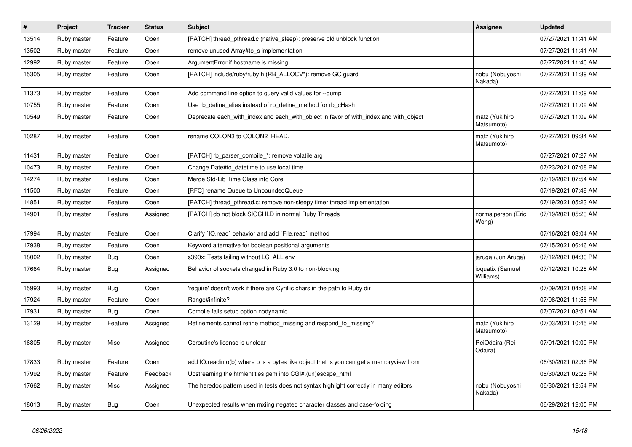| $\sharp$ | Project     | <b>Tracker</b> | <b>Status</b> | <b>Subject</b>                                                                          | <b>Assignee</b>               | <b>Updated</b>      |
|----------|-------------|----------------|---------------|-----------------------------------------------------------------------------------------|-------------------------------|---------------------|
| 13514    | Ruby master | Feature        | Open          | [PATCH] thread_pthread.c (native_sleep): preserve old unblock function                  |                               | 07/27/2021 11:41 AM |
| 13502    | Ruby master | Feature        | Open          | remove unused Array#to_s implementation                                                 |                               | 07/27/2021 11:41 AM |
| 12992    | Ruby master | Feature        | Open          | ArgumentError if hostname is missing                                                    |                               | 07/27/2021 11:40 AM |
| 15305    | Ruby master | Feature        | Open          | [PATCH] include/ruby/ruby.h (RB_ALLOCV*): remove GC guard                               | nobu (Nobuyoshi<br>Nakada)    | 07/27/2021 11:39 AM |
| 11373    | Ruby master | Feature        | Open          | Add command line option to query valid values for --dump                                |                               | 07/27/2021 11:09 AM |
| 10755    | Ruby master | Feature        | Open          | Use rb_define_alias instead of rb_define_method for rb_cHash                            |                               | 07/27/2021 11:09 AM |
| 10549    | Ruby master | Feature        | Open          | Deprecate each with index and each with object in favor of with index and with object   | matz (Yukihiro<br>Matsumoto)  | 07/27/2021 11:09 AM |
| 10287    | Ruby master | Feature        | Open          | rename COLON3 to COLON2 HEAD.                                                           | matz (Yukihiro<br>Matsumoto)  | 07/27/2021 09:34 AM |
| 11431    | Ruby master | Feature        | Open          | [PATCH] rb_parser_compile_*: remove volatile arg                                        |                               | 07/27/2021 07:27 AM |
| 10473    | Ruby master | Feature        | Open          | Change Date#to_datetime to use local time                                               |                               | 07/23/2021 07:08 PM |
| 14274    | Ruby master | Feature        | Open          | Merge Std-Lib Time Class into Core                                                      |                               | 07/19/2021 07:54 AM |
| 11500    | Ruby master | Feature        | Open          | [RFC] rename Queue to UnboundedQueue                                                    |                               | 07/19/2021 07:48 AM |
| 14851    | Ruby master | Feature        | Open          | [PATCH] thread_pthread.c: remove non-sleepy timer thread implementation                 |                               | 07/19/2021 05:23 AM |
| 14901    | Ruby master | Feature        | Assigned      | [PATCH] do not block SIGCHLD in normal Ruby Threads                                     | normalperson (Eric<br>Wong)   | 07/19/2021 05:23 AM |
| 17994    | Ruby master | Feature        | Open          | Clarify 'IO.read' behavior and add 'File.read' method                                   |                               | 07/16/2021 03:04 AM |
| 17938    | Ruby master | Feature        | Open          | Keyword alternative for boolean positional arguments                                    |                               | 07/15/2021 06:46 AM |
| 18002    | Ruby master | Bug            | Open          | s390x: Tests failing without LC ALL env                                                 | jaruga (Jun Aruga)            | 07/12/2021 04:30 PM |
| 17664    | Ruby master | Bug            | Assigned      | Behavior of sockets changed in Ruby 3.0 to non-blocking                                 | ioquatix (Samuel<br>Williams) | 07/12/2021 10:28 AM |
| 15993    | Ruby master | <b>Bug</b>     | Open          | require' doesn't work if there are Cyrillic chars in the path to Ruby dir               |                               | 07/09/2021 04:08 PM |
| 17924    | Ruby master | Feature        | Open          | Range#infinite?                                                                         |                               | 07/08/2021 11:58 PM |
| 17931    | Ruby master | <b>Bug</b>     | Open          | Compile fails setup option nodynamic                                                    |                               | 07/07/2021 08:51 AM |
| 13129    | Ruby master | Feature        | Assigned      | Refinements cannot refine method_missing and respond_to_missing?                        | matz (Yukihiro<br>Matsumoto)  | 07/03/2021 10:45 PM |
| 16805    | Ruby master | Misc           | Assigned      | Coroutine's license is unclear                                                          | ReiOdaira (Rei<br>Odaira)     | 07/01/2021 10:09 PM |
| 17833    | Ruby master | Feature        | Open          | add IO.readinto(b) where b is a bytes like object that is you can get a memoryview from |                               | 06/30/2021 02:36 PM |
| 17992    | Ruby master | Feature        | Feedback      | Upstreaming the htmlentities gem into CGI#.(un)escape_html                              |                               | 06/30/2021 02:26 PM |
| 17662    | Ruby master | Misc           | Assigned      | The heredoc pattern used in tests does not syntax highlight correctly in many editors   | nobu (Nobuyoshi<br>Nakada)    | 06/30/2021 12:54 PM |
| 18013    | Ruby master | Bug            | Open          | Unexpected results when mxiing negated character classes and case-folding               |                               | 06/29/2021 12:05 PM |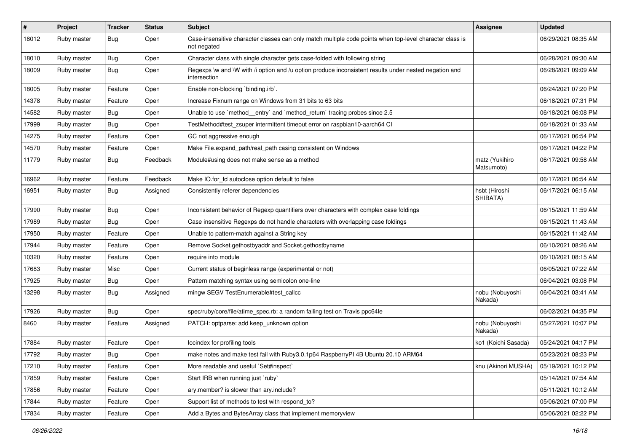| $\sharp$ | Project     | <b>Tracker</b> | <b>Status</b> | Subject                                                                                                                 | <b>Assignee</b>              | <b>Updated</b>      |
|----------|-------------|----------------|---------------|-------------------------------------------------------------------------------------------------------------------------|------------------------------|---------------------|
| 18012    | Ruby master | Bug            | Open          | Case-insensitive character classes can only match multiple code points when top-level character class is<br>not negated |                              | 06/29/2021 08:35 AM |
| 18010    | Ruby master | <b>Bug</b>     | Open          | Character class with single character gets case-folded with following string                                            |                              | 06/28/2021 09:30 AM |
| 18009    | Ruby master | Bug            | Open          | Regexps \w and \W with /i option and /u option produce inconsistent results under nested negation and<br>intersection   |                              | 06/28/2021 09:09 AM |
| 18005    | Ruby master | Feature        | Open          | Enable non-blocking `binding.irb`.                                                                                      |                              | 06/24/2021 07:20 PM |
| 14378    | Ruby master | Feature        | Open          | Increase Fixnum range on Windows from 31 bits to 63 bits                                                                |                              | 06/18/2021 07:31 PM |
| 14582    | Ruby master | <b>Bug</b>     | Open          | Unable to use `method_entry` and `method_return` tracing probes since 2.5                                               |                              | 06/18/2021 06:08 PM |
| 17999    | Ruby master | <b>Bug</b>     | Open          | TestMethod#test_zsuper intermittent timeout error on raspbian10-aarch64 CI                                              |                              | 06/18/2021 01:33 AM |
| 14275    | Ruby master | Feature        | Open          | GC not aggressive enough                                                                                                |                              | 06/17/2021 06:54 PM |
| 14570    | Ruby master | Feature        | Open          | Make File.expand path/real path casing consistent on Windows                                                            |                              | 06/17/2021 04:22 PM |
| 11779    | Ruby master | Bug            | Feedback      | Module#using does not make sense as a method                                                                            | matz (Yukihiro<br>Matsumoto) | 06/17/2021 09:58 AM |
| 16962    | Ruby master | Feature        | Feedback      | Make IO.for fd autoclose option default to false                                                                        |                              | 06/17/2021 06:54 AM |
| 16951    | Ruby master | Bug            | Assigned      | Consistently referer dependencies                                                                                       | hsbt (Hiroshi<br>SHIBATA)    | 06/17/2021 06:15 AM |
| 17990    | Ruby master | <b>Bug</b>     | Open          | Inconsistent behavior of Regexp quantifiers over characters with complex case foldings                                  |                              | 06/15/2021 11:59 AM |
| 17989    | Ruby master | <b>Bug</b>     | Open          | Case insensitive Regexps do not handle characters with overlapping case foldings                                        |                              | 06/15/2021 11:43 AM |
| 17950    | Ruby master | Feature        | Open          | Unable to pattern-match against a String key                                                                            |                              | 06/15/2021 11:42 AM |
| 17944    | Ruby master | Feature        | Open          | Remove Socket.gethostbyaddr and Socket.gethostbyname                                                                    |                              | 06/10/2021 08:26 AM |
| 10320    | Ruby master | Feature        | Open          | require into module                                                                                                     |                              | 06/10/2021 08:15 AM |
| 17683    | Ruby master | Misc           | Open          | Current status of beginless range (experimental or not)                                                                 |                              | 06/05/2021 07:22 AM |
| 17925    | Ruby master | <b>Bug</b>     | Open          | Pattern matching syntax using semicolon one-line                                                                        |                              | 06/04/2021 03:08 PM |
| 13298    | Ruby master | <b>Bug</b>     | Assigned      | mingw SEGV TestEnumerable#test_callcc                                                                                   | nobu (Nobuyoshi<br>Nakada)   | 06/04/2021 03:41 AM |
| 17926    | Ruby master | <b>Bug</b>     | Open          | spec/ruby/core/file/atime_spec.rb: a random failing test on Travis ppc64le                                              |                              | 06/02/2021 04:35 PM |
| 8460     | Ruby master | Feature        | Assigned      | PATCH: optparse: add keep_unknown option                                                                                | nobu (Nobuyoshi<br>Nakada)   | 05/27/2021 10:07 PM |
| 17884    | Ruby master | Feature        | Open          | locindex for profiling tools                                                                                            | ko1 (Koichi Sasada)          | 05/24/2021 04:17 PM |
| 17792    | Ruby master | Bug            | Open          | make notes and make test fail with Ruby3.0.1p64 RaspberryPI 4B Ubuntu 20.10 ARM64                                       |                              | 05/23/2021 08:23 PM |
| 17210    | Ruby master | Feature        | Open          | More readable and useful `Set#inspect`                                                                                  | knu (Akinori MUSHA)          | 05/19/2021 10:12 PM |
| 17859    | Ruby master | Feature        | Open          | Start IRB when running just `ruby`                                                                                      |                              | 05/14/2021 07:54 AM |
| 17856    | Ruby master | Feature        | Open          | ary.member? is slower than ary.include?                                                                                 |                              | 05/11/2021 10:12 AM |
| 17844    | Ruby master | Feature        | Open          | Support list of methods to test with respond_to?                                                                        |                              | 05/06/2021 07:00 PM |
| 17834    | Ruby master | Feature        | Open          | Add a Bytes and BytesArray class that implement memoryview                                                              |                              | 05/06/2021 02:22 PM |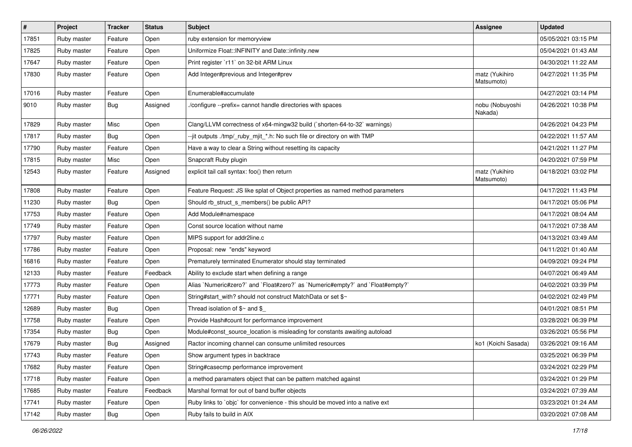| $\vert$ # | Project     | <b>Tracker</b> | <b>Status</b> | <b>Subject</b>                                                                 | Assignee                     | <b>Updated</b>      |
|-----------|-------------|----------------|---------------|--------------------------------------------------------------------------------|------------------------------|---------------------|
| 17851     | Ruby master | Feature        | Open          | ruby extension for memoryview                                                  |                              | 05/05/2021 03:15 PM |
| 17825     | Ruby master | Feature        | Open          | Uniformize Float::INFINITY and Date::infinity.new                              |                              | 05/04/2021 01:43 AM |
| 17647     | Ruby master | Feature        | Open          | Print register `r11` on 32-bit ARM Linux                                       |                              | 04/30/2021 11:22 AM |
| 17830     | Ruby master | Feature        | Open          | Add Integer#previous and Integer#prev                                          | matz (Yukihiro<br>Matsumoto) | 04/27/2021 11:35 PM |
| 17016     | Ruby master | Feature        | Open          | Enumerable#accumulate                                                          |                              | 04/27/2021 03:14 PM |
| 9010      | Ruby master | <b>Bug</b>     | Assigned      | /configure --prefix= cannot handle directories with spaces                     | nobu (Nobuyoshi<br>Nakada)   | 04/26/2021 10:38 PM |
| 17829     | Ruby master | Misc           | Open          | Clang/LLVM correctness of x64-mingw32 build (`shorten-64-to-32` warnings)      |                              | 04/26/2021 04:23 PM |
| 17817     | Ruby master | Bug            | Open          | --jit outputs ./tmp/_ruby_mjit_*.h: No such file or directory on with TMP      |                              | 04/22/2021 11:57 AM |
| 17790     | Ruby master | Feature        | Open          | Have a way to clear a String without resetting its capacity                    |                              | 04/21/2021 11:27 PM |
| 17815     | Ruby master | Misc           | Open          | Snapcraft Ruby plugin                                                          |                              | 04/20/2021 07:59 PM |
| 12543     | Ruby master | Feature        | Assigned      | explicit tail call syntax: foo() then return                                   | matz (Yukihiro<br>Matsumoto) | 04/18/2021 03:02 PM |
| 17808     | Ruby master | Feature        | Open          | Feature Request: JS like splat of Object properties as named method parameters |                              | 04/17/2021 11:43 PM |
| 11230     | Ruby master | <b>Bug</b>     | Open          | Should rb struct s members() be public API?                                    |                              | 04/17/2021 05:06 PM |
| 17753     | Ruby master | Feature        | Open          | Add Module#namespace                                                           |                              | 04/17/2021 08:04 AM |
| 17749     | Ruby master | Feature        | Open          | Const source location without name                                             |                              | 04/17/2021 07:38 AM |
| 17797     | Ruby master | Feature        | Open          | MIPS support for addr2line.c                                                   |                              | 04/13/2021 03:49 AM |
| 17786     | Ruby master | Feature        | Open          | Proposal: new "ends" keyword                                                   |                              | 04/11/2021 01:40 AM |
| 16816     | Ruby master | Feature        | Open          | Prematurely terminated Enumerator should stay terminated                       |                              | 04/09/2021 09:24 PM |
| 12133     | Ruby master | Feature        | Feedback      | Ability to exclude start when defining a range                                 |                              | 04/07/2021 06:49 AM |
| 17773     | Ruby master | Feature        | Open          | Alias `Numeric#zero?` and `Float#zero?` as `Numeric#empty?` and `Float#empty?` |                              | 04/02/2021 03:39 PM |
| 17771     | Ruby master | Feature        | Open          | String#start_with? should not construct MatchData or set \$~                   |                              | 04/02/2021 02:49 PM |
| 12689     | Ruby master | Bug            | Open          | Thread isolation of $\gamma \sim$ and \$                                       |                              | 04/01/2021 08:51 PM |
| 17758     | Ruby master | Feature        | Open          | Provide Hash#count for performance improvement                                 |                              | 03/28/2021 06:39 PM |
| 17354     | Ruby master | Bug            | Open          | Module#const_source_location is misleading for constants awaiting autoload     |                              | 03/26/2021 05:56 PM |
| 17679     | Ruby master | <b>Bug</b>     | Assigned      | Ractor incoming channel can consume unlimited resources                        | ko1 (Koichi Sasada)          | 03/26/2021 09:16 AM |
| 17743     | Ruby master | Feature        | Open          | Show argument types in backtrace                                               |                              | 03/25/2021 06:39 PM |
| 17682     | Ruby master | Feature        | Open          | String#casecmp performance improvement                                         |                              | 03/24/2021 02:29 PM |
| 17718     | Ruby master | Feature        | Open          | a method paramaters object that can be pattern matched against                 |                              | 03/24/2021 01:29 PM |
| 17685     | Ruby master | Feature        | Feedback      | Marshal format for out of band buffer objects                                  |                              | 03/24/2021 07:39 AM |
| 17741     | Ruby master | Feature        | Open          | Ruby links to `objc` for convenience - this should be moved into a native ext  |                              | 03/23/2021 01:24 AM |
| 17142     | Ruby master | Bug            | Open          | Ruby fails to build in AIX                                                     |                              | 03/20/2021 07:08 AM |